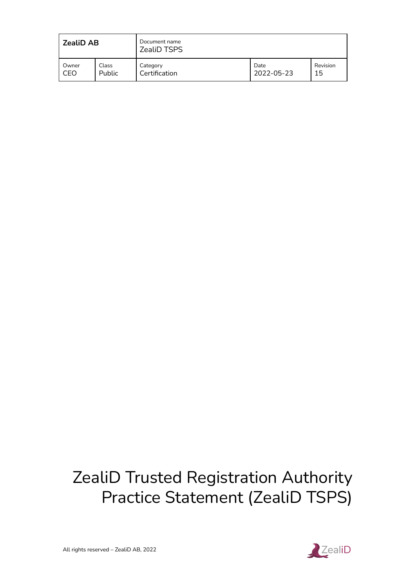| <b>ZealiD AB</b> |               | Document name<br><b>ZealiD TSPS</b> |            |          |
|------------------|---------------|-------------------------------------|------------|----------|
| Owner            | Class         | Category                            | Date       | Revision |
| CEO              | <b>Public</b> | Certification                       | 2022-05-23 | 15       |

# ZealiD Trusted Registration Authority Practice Statement (ZealiD TSPS)

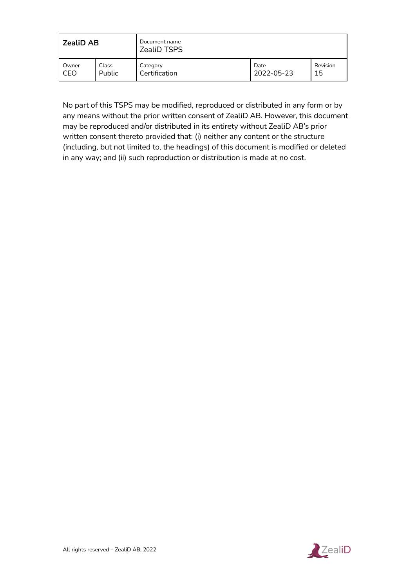| <b>ZealiD AB</b> |        | Document name<br><b>ZealiD TSPS</b> |            |          |
|------------------|--------|-------------------------------------|------------|----------|
| Owner            | Class  | Category                            | Date       | Revision |
| CEO              | Public | Certification                       | 2022-05-23 | 15       |

No part of this TSPS may be modified, reproduced or distributed in any form or by any means without the prior written consent of ZealiD AB. However, this document may be reproduced and/or distributed in its entirety without ZealiD AB's prior written consent thereto provided that: (i) neither any content or the structure (including, but not limited to, the headings) of this document is modified or deleted in any way; and (ii) such reproduction or distribution is made at no cost.

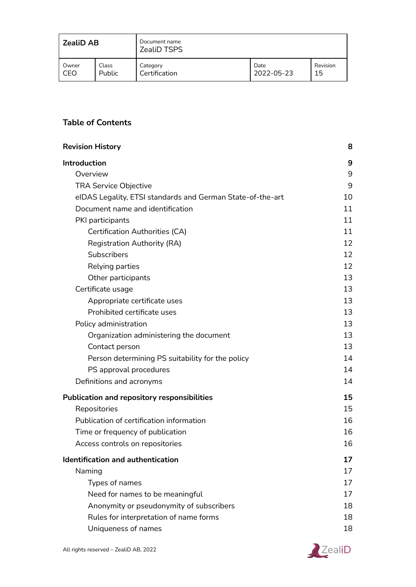| <b>ZealiD AB</b> |        | Document name<br><b>ZealiD TSPS</b> |            |          |
|------------------|--------|-------------------------------------|------------|----------|
| Owner            | Class  | Category                            | Date       | Revision |
| CEO              | Public | Certification                       | 2022-05-23 | 15       |

# **Table of Contents**

| <b>Revision History</b>                                    | 8  |
|------------------------------------------------------------|----|
| Introduction                                               | 9  |
| Overview                                                   | 9  |
| <b>TRA Service Objective</b>                               | 9  |
| eIDAS Legality, ETSI standards and German State-of-the-art | 10 |
| Document name and identification                           | 11 |
| PKI participants                                           | 11 |
| <b>Certification Authorities (CA)</b>                      | 11 |
| <b>Registration Authority (RA)</b>                         | 12 |
| Subscribers                                                | 12 |
| Relying parties                                            | 12 |
| Other participants                                         | 13 |
| Certificate usage                                          | 13 |
| Appropriate certificate uses                               | 13 |
| Prohibited certificate uses                                | 13 |
| Policy administration                                      | 13 |
| Organization administering the document                    | 13 |
| Contact person                                             | 13 |
| Person determining PS suitability for the policy           | 14 |
| PS approval procedures                                     | 14 |
| Definitions and acronyms                                   | 14 |
| <b>Publication and repository responsibilities</b>         | 15 |
| Repositories                                               | 15 |
| Publication of certification information                   | 16 |
| Time or frequency of publication                           | 16 |
| Access controls on repositories                            | 16 |
| Identification and authentication                          | 17 |
| Naming                                                     | 17 |
| Types of names                                             | 17 |
| Need for names to be meaningful                            | 17 |
| Anonymity or pseudonymity of subscribers                   | 18 |
| Rules for interpretation of name forms                     | 18 |
| Uniqueness of names                                        | 18 |
|                                                            |    |

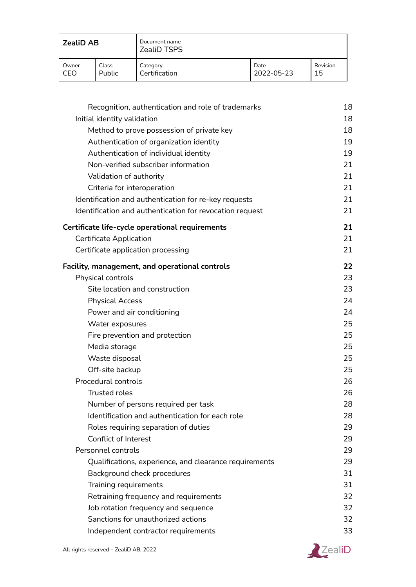| <b>ZealiD AB</b> |               | Document name<br><b>ZealiD TSPS</b> |            |          |
|------------------|---------------|-------------------------------------|------------|----------|
| Owner            | Class         | Category                            | Date       | Revision |
| CEO              | <b>Public</b> | Certification                       | 2022-05-23 | 15       |

| Recognition, authentication and role of trademarks       | 18 |
|----------------------------------------------------------|----|
| Initial identity validation                              | 18 |
| Method to prove possession of private key                | 18 |
| Authentication of organization identity                  | 19 |
| Authentication of individual identity                    | 19 |
| Non-verified subscriber information                      | 21 |
| Validation of authority                                  | 21 |
| Criteria for interoperation                              | 21 |
| Identification and authentication for re-key requests    | 21 |
| Identification and authentication for revocation request | 21 |
| Certificate life-cycle operational requirements          | 21 |
| <b>Certificate Application</b>                           | 21 |
| Certificate application processing                       | 21 |
| Facility, management, and operational controls           | 22 |
| Physical controls                                        | 23 |
| Site location and construction                           | 23 |
| <b>Physical Access</b>                                   | 24 |
| Power and air conditioning                               | 24 |
| Water exposures                                          | 25 |
| Fire prevention and protection                           | 25 |
| Media storage                                            | 25 |
| Waste disposal                                           | 25 |
| Off-site backup                                          | 25 |
| Procedural controls                                      | 26 |
| <b>Trusted roles</b>                                     | 26 |
| Number of persons required per task                      | 28 |
| Identification and authentication for each role          | 28 |
| Roles requiring separation of duties                     | 29 |
| Conflict of Interest                                     | 29 |
| Personnel controls                                       | 29 |
| Qualifications, experience, and clearance requirements   | 29 |
| Background check procedures                              | 31 |
| Training requirements                                    | 31 |
| Retraining frequency and requirements                    | 32 |
| Job rotation frequency and sequence                      | 32 |
| Sanctions for unauthorized actions                       | 32 |
| Independent contractor requirements                      | 33 |

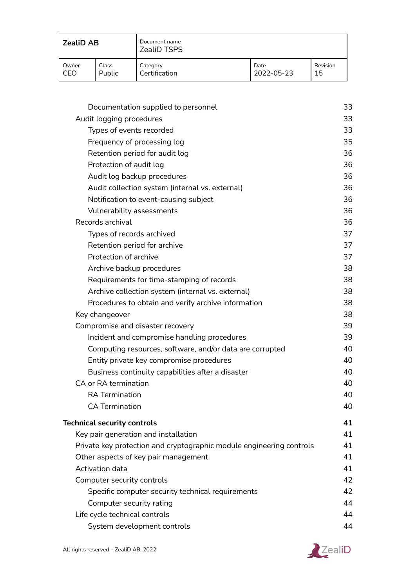| <b>ZealiD AB</b> |        | Document name<br><b>ZealiD TSPS</b> |            |          |
|------------------|--------|-------------------------------------|------------|----------|
| Owner            | Class  | Category                            | Date       | Revision |
| CEO              | Public | Certification                       | 2022-05-23 | 15       |

| Documentation supplied to personnel                                  | 33 |
|----------------------------------------------------------------------|----|
| Audit logging procedures                                             | 33 |
| Types of events recorded                                             | 33 |
| Frequency of processing log                                          | 35 |
| Retention period for audit log                                       | 36 |
| Protection of audit log                                              | 36 |
| Audit log backup procedures                                          | 36 |
| Audit collection system (internal vs. external)                      | 36 |
| Notification to event-causing subject                                | 36 |
| Vulnerability assessments                                            | 36 |
| Records archival                                                     | 36 |
| Types of records archived                                            | 37 |
| Retention period for archive                                         | 37 |
| Protection of archive                                                | 37 |
| Archive backup procedures                                            | 38 |
| Requirements for time-stamping of records                            | 38 |
| Archive collection system (internal vs. external)                    | 38 |
| Procedures to obtain and verify archive information                  | 38 |
| Key changeover                                                       | 38 |
| Compromise and disaster recovery                                     | 39 |
| Incident and compromise handling procedures                          | 39 |
| Computing resources, software, and/or data are corrupted             | 40 |
| Entity private key compromise procedures                             | 40 |
| Business continuity capabilities after a disaster                    | 40 |
| CA or RA termination                                                 | 40 |
| <b>RA</b> Termination                                                | 40 |
| <b>CA Termination</b>                                                | 40 |
|                                                                      |    |
| <b>Technical security controls</b>                                   | 41 |
| Key pair generation and installation                                 | 41 |
| Private key protection and cryptographic module engineering controls | 41 |
| Other aspects of key pair management                                 | 41 |
| Activation data                                                      | 41 |
| Computer security controls                                           | 42 |
| Specific computer security technical requirements                    | 42 |
| Computer security rating                                             | 44 |
| Life cycle technical controls                                        | 44 |
| System development controls                                          | 44 |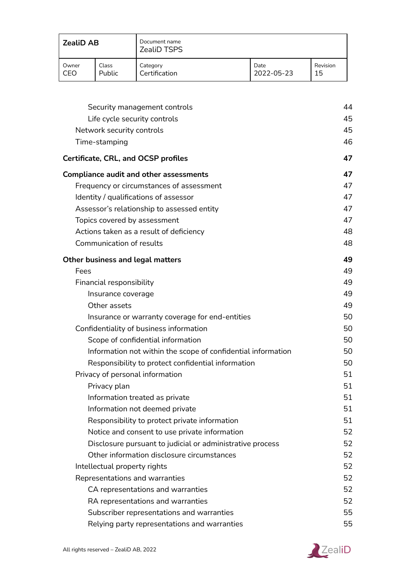| <b>ZealiD AB</b> |        | Document name<br><b>ZealiD TSPS</b> |            |          |
|------------------|--------|-------------------------------------|------------|----------|
| Owner            | Class  | Category                            | Date       | Revision |
| CEO              | Public | Certification                       | 2022-05-23 | 15       |

| Security management controls                                 | 44 |
|--------------------------------------------------------------|----|
| Life cycle security controls                                 | 45 |
| Network security controls                                    | 45 |
| Time-stamping                                                | 46 |
| <b>Certificate, CRL, and OCSP profiles</b>                   | 47 |
| <b>Compliance audit and other assessments</b>                | 47 |
| Frequency or circumstances of assessment                     | 47 |
| Identity / qualifications of assessor                        | 47 |
| Assessor's relationship to assessed entity                   | 47 |
| Topics covered by assessment                                 | 47 |
| Actions taken as a result of deficiency                      | 48 |
| Communication of results                                     | 48 |
| <b>Other business and legal matters</b>                      | 49 |
| Fees                                                         | 49 |
| Financial responsibility                                     | 49 |
| Insurance coverage                                           | 49 |
| Other assets                                                 | 49 |
| Insurance or warranty coverage for end-entities              | 50 |
| Confidentiality of business information                      | 50 |
| Scope of confidential information                            | 50 |
| Information not within the scope of confidential information | 50 |
| Responsibility to protect confidential information           | 50 |
| Privacy of personal information                              | 51 |
| Privacy plan                                                 | 51 |
| Information treated as private                               | 51 |
| Information not deemed private                               | 51 |
| Responsibility to protect private information                | 51 |
| Notice and consent to use private information                | 52 |
| Disclosure pursuant to judicial or administrative process    | 52 |
| Other information disclosure circumstances                   | 52 |
| Intellectual property rights                                 | 52 |
| Representations and warranties                               | 52 |
| CA representations and warranties                            | 52 |
| RA representations and warranties                            | 52 |
| Subscriber representations and warranties                    | 55 |
| Relying party representations and warranties                 | 55 |

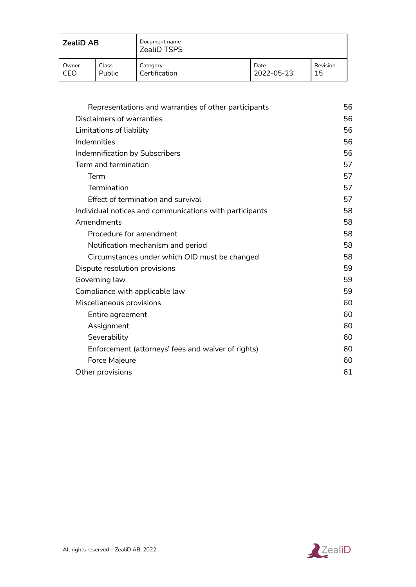| <b>ZealiD AB</b> |               | Document name<br><b>ZealiD TSPS</b> |            |          |
|------------------|---------------|-------------------------------------|------------|----------|
| Owner            | Class         | Category                            | Date       | Revision |
| CEO              | <b>Public</b> | Certification                       | 2022-05-23 | 15       |

| Representations and warranties of other participants    | 56 |
|---------------------------------------------------------|----|
| Disclaimers of warranties                               | 56 |
| Limitations of liability                                | 56 |
| Indemnities                                             | 56 |
| Indemnification by Subscribers                          | 56 |
| Term and termination                                    | 57 |
| Term                                                    | 57 |
| Termination                                             | 57 |
| <b>Effect of termination and survival</b>               | 57 |
| Individual notices and communications with participants | 58 |
| Amendments                                              | 58 |
| Procedure for amendment                                 | 58 |
| Notification mechanism and period                       | 58 |
| Circumstances under which OID must be changed           | 58 |
| Dispute resolution provisions                           | 59 |
| Governing law                                           | 59 |
| Compliance with applicable law                          | 59 |
| Miscellaneous provisions                                | 60 |
| Entire agreement                                        | 60 |
| Assignment                                              | 60 |
| Severability                                            | 60 |
| Enforcement (attorneys' fees and waiver of rights)      | 60 |
| Force Majeure                                           | 60 |
| Other provisions                                        | 61 |

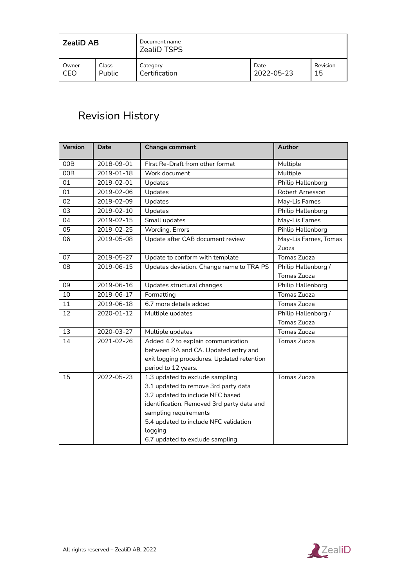| <b>ZealiD AB</b> |               | Document name<br><b>ZealiD TSPS</b> |            |          |
|------------------|---------------|-------------------------------------|------------|----------|
| Owner            | Class         | Category                            | Date       | Revision |
| CEO              | <b>Public</b> | Certification                       | 2022-05-23 | 15       |

# <span id="page-7-0"></span>Revision History

| <b>Version</b> | <b>Date</b> | <b>Change comment</b>                      | <b>Author</b>         |
|----------------|-------------|--------------------------------------------|-----------------------|
| 00B            | 2018-09-01  | First Re-Draft from other format           | Multiple              |
| 00B            | 2019-01-18  | Work document                              | Multiple              |
| 01             | 2019-02-01  | Updates                                    | Philip Hallenborg     |
| 01             | 2019-02-06  | Updates                                    | Robert Arnesson       |
| 02             | 2019-02-09  | Updates                                    | May-Lis Farnes        |
| 03             | 2019-02-10  | Updates                                    | Philip Hallenborg     |
| 04             | 2019-02-15  | Small updates                              | May-Lis Farnes        |
| 05             | 2019-02-25  | Wording, Errors                            | Pihlip Hallenborg     |
| 06             | 2019-05-08  | Update after CAB document review           | May-Lis Farnes, Tomas |
|                |             |                                            | Zuoza                 |
| 07             | 2019-05-27  | Update to conform with template            | Tomas Zuoza           |
| 08             | 2019-06-15  | Updates deviation. Change name to TRA PS   | Philip Hallenborg /   |
|                |             |                                            | <b>Tomas Zuoza</b>    |
| 09             | 2019-06-16  | Updates structural changes                 | Philip Hallenborg     |
| 10             | 2019-06-17  | Formatting                                 | Tomas Zuoza           |
| 11             | 2019-06-18  | 6.7 more details added                     | Tomas Zuoza           |
| 12             | 2020-01-12  | Multiple updates                           | Philip Hallenborg /   |
|                |             |                                            | Tomas Zuoza           |
| 13             | 2020-03-27  | Multiple updates                           | Tomas Zuoza           |
| 14             | 2021-02-26  | Added 4.2 to explain communication         | Tomas Zuoza           |
|                |             | between RA and CA. Updated entry and       |                       |
|                |             | exit logging procedures. Updated retention |                       |
|                |             | period to 12 years.                        |                       |
| 15             | 2022-05-23  | 1.3 updated to exclude sampling            | Tomas Zuoza           |
|                |             | 3.1 updated to remove 3rd party data       |                       |
|                |             | 3.2 updated to include NFC based           |                       |
|                |             | identification. Removed 3rd party data and |                       |
|                |             | sampling requirements                      |                       |
|                |             | 5.4 updated to include NFC validation      |                       |
|                |             | logging                                    |                       |
|                |             | 6.7 updated to exclude sampling            |                       |

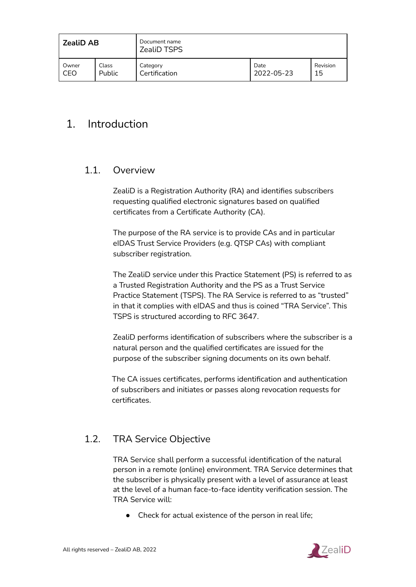| <b>ZealiD AB</b> |               | Document name<br>ZealiD TSPS |            |          |
|------------------|---------------|------------------------------|------------|----------|
| Owner            | Class         | Category                     | Date       | Revision |
| CEO              | <b>Public</b> | Certification                | 2022-05-23 | 15       |

# <span id="page-8-0"></span>1. Introduction

# <span id="page-8-1"></span>1.1. Overview

ZealiD is a Registration Authority (RA) and identifies subscribers requesting qualified electronic signatures based on qualified certificates from a Certificate Authority (CA).

The purpose of the RA service is to provide CAs and in particular eIDAS Trust Service Providers (e.g. QTSP CAs) with compliant subscriber registration.

The ZealiD service under this Practice Statement (PS) is referred to as a Trusted Registration Authority and the PS as a Trust Service Practice Statement (TSPS). The RA Service is referred to as "trusted" in that it complies with eIDAS and thus is coined "TRA Service". This TSPS is structured according to RFC 3647.

ZealiD performs identification of subscribers where the subscriber is a natural person and the qualified certificates are issued for the purpose of the subscriber signing documents on its own behalf.

The CA issues certificates, performs identification and authentication of subscribers and initiates or passes along revocation requests for certificates.

# <span id="page-8-2"></span>1.2. TRA Service Objective

TRA Service shall perform a successful identification of the natural person in a remote (online) environment. TRA Service determines that the subscriber is physically present with a level of assurance at least at the level of a human face-to-face identity verification session. The TRA Service will:

● Check for actual existence of the person in real life;

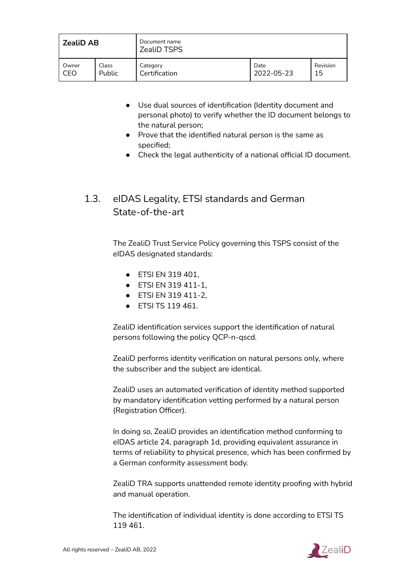| <b>ZealiD AB</b> |               | Document name<br><b>ZealiD TSPS</b> |            |          |
|------------------|---------------|-------------------------------------|------------|----------|
| Owner            | Class         | Category                            | Date       | Revision |
| CEO              | <b>Public</b> | Certification                       | 2022-05-23 | 15       |

- Use dual sources of identification (Identity document and personal photo) to verify whether the ID document belongs to the natural person;
- Prove that the identified natural person is the same as specified;
- Check the legal authenticity of a national official ID document.

# <span id="page-9-0"></span>1.3. eIDAS Legality, ETSI standards and German State-of-the-art

The ZealiD Trust Service Policy governing this TSPS consist of the eIDAS designated standards:

- ETSI EN 319 401,
- ETSI EN 319 411-1,
- ETSI EN 319 411-2,
- ETSI TS 119 461.

ZealiD identification services support the identification of natural persons following the policy QCP-n-qscd.

ZealiD performs identity verification on natural persons only, where the subscriber and the subject are identical.

ZealiD uses an automated verification of identity method supported by mandatory identification vetting performed by a natural person (Registration Officer).

In doing so, ZealiD provides an identification method conforming to eIDAS article 24, paragraph 1d, providing equivalent assurance in terms of reliability to physical presence, which has been confirmed by a German conformity assessment body.

ZealiD TRA supports unattended remote identity proofing with hybrid and manual operation.

The identification of individual identity is done according to ETSI TS 119 461.

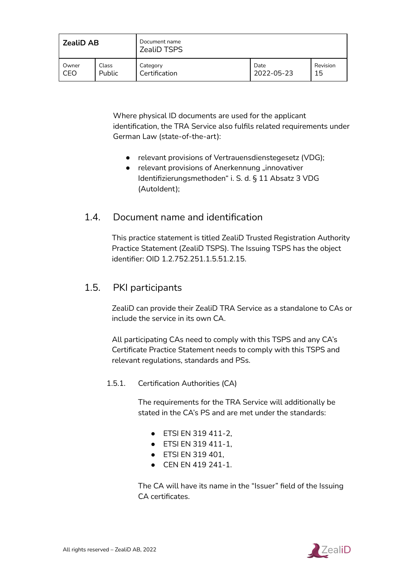| <b>ZealiD AB</b> |        | Document name<br><b>ZealiD TSPS</b> |            |          |
|------------------|--------|-------------------------------------|------------|----------|
| Owner            | Class  | Category                            | Date       | Revision |
| CEO              | Public | Certification                       | 2022-05-23 | 15       |

Where physical ID documents are used for the applicant identification, the TRA Service also fulfils related requirements under German Law (state-of-the-art):

- relevant provisions of Vertrauensdienstegesetz (VDG);
- relevant provisions of Anerkennung "innovativer Identifizierungsmethoden" i. S. d. § 11 Absatz 3 VDG (AutoIdent);

# <span id="page-10-0"></span>1.4. Document name and identification

This practice statement is titled ZealiD Trusted Registration Authority Practice Statement (ZealiD TSPS). The Issuing TSPS has the object identifier: OID 1.2.752.251.1.5.51.2.15.

# <span id="page-10-1"></span>1.5. PKI participants

ZealiD can provide their ZealiD TRA Service as a standalone to CAs or include the service in its own CA.

All participating CAs need to comply with this TSPS and any CA's Certificate Practice Statement needs to comply with this TSPS and relevant regulations, standards and PSs.

<span id="page-10-2"></span>1.5.1. Certification Authorities (CA)

The requirements for the TRA Service will additionally be stated in the CA's PS and are met under the standards:

- ETSI EN 319 411-2,
- ETSI EN 319 411-1,
- ETSI EN 319 401,
- CEN EN 419 241-1.

The CA will have its name in the "Issuer" field of the Issuing CA certificates.

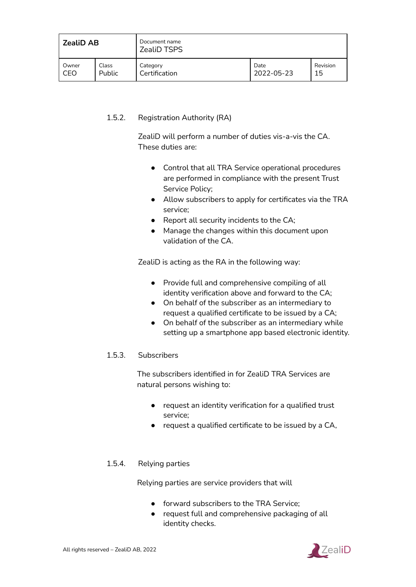| <b>ZealiD AB</b> |               | Document name<br><b>ZealiD TSPS</b> |            |          |
|------------------|---------------|-------------------------------------|------------|----------|
| Owner            | Class         | Category                            | Date       | Revision |
| CEO              | <b>Public</b> | Certification                       | 2022-05-23 | 15       |

#### <span id="page-11-0"></span>1.5.2. Registration Authority (RA)

ZealiD will perform a number of duties vis-a-vis the CA. These duties are:

- Control that all TRA Service operational procedures are performed in compliance with the present Trust Service Policy;
- Allow subscribers to apply for certificates via the TRA service;
- Report all security incidents to the CA;
- Manage the changes within this document upon validation of the CA.

ZealiD is acting as the RA in the following way:

- Provide full and comprehensive compiling of all identity verification above and forward to the CA;
- On behalf of the subscriber as an intermediary to request a qualified certificate to be issued by a CA;
- On behalf of the subscriber as an intermediary while setting up a smartphone app based electronic identity.

#### <span id="page-11-1"></span>1.5.3. Subscribers

The subscribers identified in for ZealiD TRA Services are natural persons wishing to:

- request an identity verification for a qualified trust service;
- request a qualified certificate to be issued by a CA,

#### <span id="page-11-2"></span>1.5.4. Relying parties

Relying parties are service providers that will

- **•** forward subscribers to the TRA Service;
- request full and comprehensive packaging of all identity checks.

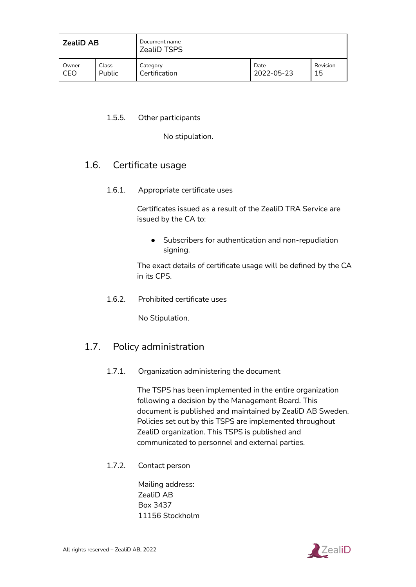| <b>ZealiD AB</b> |        | Document name<br><b>ZealiD TSPS</b> |            |          |
|------------------|--------|-------------------------------------|------------|----------|
| Owner            | Class  | Category                            | Date       | Revision |
| CEO              | Public | Certification                       | 2022-05-23 | 15       |

#### <span id="page-12-0"></span>1.5.5. Other participants

No stipulation.

# <span id="page-12-1"></span>1.6. Certificate usage

1.6.1. Appropriate certificate uses

Certificates issued as a result of the ZealiD TRA Service are issued by the CA to:

● Subscribers for authentication and non-repudiation signing.

The exact details of certificate usage will be defined by the CA in its CPS.

<span id="page-12-2"></span>1.6.2. Prohibited certificate uses

No Stipulation.

# <span id="page-12-3"></span>1.7. Policy administration

1.7.1. Organization administering the document

The TSPS has been implemented in the entire organization following a decision by the Management Board. This document is published and maintained by ZealiD AB Sweden. Policies set out by this TSPS are implemented throughout ZealiD organization. This TSPS is published and communicated to personnel and external parties.

<span id="page-12-4"></span>1.7.2. Contact person

Mailing address: ZealiD AB Box 3437 11156 Stockholm

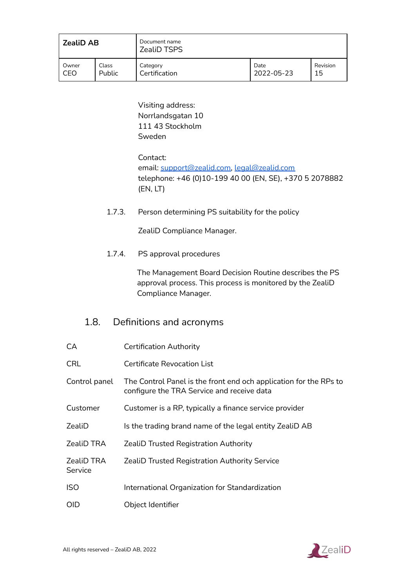| <b>ZealiD AB</b> |        | Document name<br><b>ZealiD TSPS</b> |            |          |
|------------------|--------|-------------------------------------|------------|----------|
| Owner            | Class  | Category                            | Date       | Revision |
| CEO              | Public | Certification                       | 2022-05-23 | 15       |

Visiting address: Norrlandsgatan 10 111 43 Stockholm Sweden

Contact: email: [support@zealid.com,](mailto:support@zealid.com) [legal@zealid.com](mailto:legal@zealid.com) telephone: +46 (0)10-199 40 00 (EN, SE), +370 5 2078882 (EN, LT)

<span id="page-13-0"></span>1.7.3. Person determining PS suitability for the policy

ZealiD Compliance Manager.

<span id="page-13-1"></span>1.7.4. PS approval procedures

The Management Board Decision Routine describes the PS approval process. This process is monitored by the ZealiD Compliance Manager.

# <span id="page-13-2"></span>1.8. Definitions and acronyms

| CA                    | <b>Certification Authority</b>                                                                                  |
|-----------------------|-----------------------------------------------------------------------------------------------------------------|
| <b>CRL</b>            | <b>Certificate Revocation List</b>                                                                              |
| Control panel         | The Control Panel is the front end och application for the RPs to<br>configure the TRA Service and receive data |
| Customer              | Customer is a RP, typically a finance service provider                                                          |
| ZealiD                | Is the trading brand name of the legal entity ZealiD AB                                                         |
| ZealiD TRA            | <b>ZealiD Trusted Registration Authority</b>                                                                    |
| ZealiD TRA<br>Service | <b>ZealiD Trusted Registration Authority Service</b>                                                            |
| ISO                   | International Organization for Standardization                                                                  |
| OID                   | Object Identifier                                                                                               |

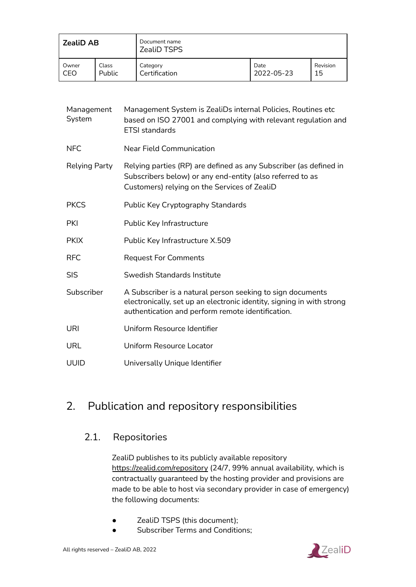| ZealiD AB |        | Document name<br><b>ZealiD TSPS</b> |            |          |
|-----------|--------|-------------------------------------|------------|----------|
| Owner     | Class  | Category                            | Date       | Revision |
| CEO       | Public | Certification                       | 2022-05-23 | 15       |

| Management<br>System | Management System is ZealiDs internal Policies, Routines etc<br>based on ISO 27001 and complying with relevant regulation and<br><b>ETSI</b> standards                                   |
|----------------------|------------------------------------------------------------------------------------------------------------------------------------------------------------------------------------------|
| <b>NFC</b>           | <b>Near Field Communication</b>                                                                                                                                                          |
| Relying Party        | Relying parties (RP) are defined as any Subscriber (as defined in<br>Subscribers below) or any end-entity (also referred to as<br>Customers) relying on the Services of ZealiD           |
| <b>PKCS</b>          | Public Key Cryptography Standards                                                                                                                                                        |
| <b>PKI</b>           | Public Key Infrastructure                                                                                                                                                                |
| <b>PKIX</b>          | Public Key Infrastructure X.509                                                                                                                                                          |
| <b>RFC</b>           | <b>Request For Comments</b>                                                                                                                                                              |
| <b>SIS</b>           | Swedish Standards Institute                                                                                                                                                              |
| Subscriber           | A Subscriber is a natural person seeking to sign documents<br>electronically, set up an electronic identity, signing in with strong<br>authentication and perform remote identification. |
| URI                  | Uniform Resource Identifier                                                                                                                                                              |
| <b>URL</b>           | Uniform Resource Locator                                                                                                                                                                 |
| <b>UUID</b>          | Universally Unique Identifier                                                                                                                                                            |

# 2. Publication and repository responsibilities

# <span id="page-14-0"></span>2.1. Repositories

ZealiD publishes to its publicly available repository <https://zealid.com/repository> (24/7, 99% annual availability, which is contractually guaranteed by the hosting provider and provisions are made to be able to host via secondary provider in case of emergency) the following documents:

- ZealiD TSPS (this document);
- Subscriber Terms and Conditions;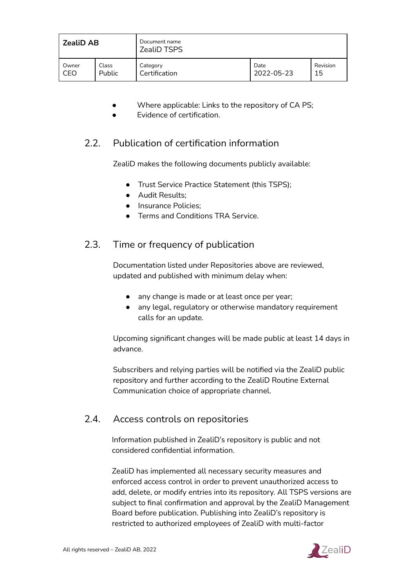| <b>ZealiD AB</b> |               | Document name<br><b>ZealiD TSPS</b> |            |          |
|------------------|---------------|-------------------------------------|------------|----------|
| Owner            | Class         | Category                            | Date       | Revision |
| CEO              | <b>Public</b> | Certification                       | 2022-05-23 | 15       |

- Where applicable: Links to the repository of CA PS;
- **Evidence of certification.**

# <span id="page-15-0"></span>2.2. Publication of certification information

ZealiD makes the following documents publicly available:

- Trust Service Practice Statement (this TSPS);
- Audit Results;
- Insurance Policies;
- Terms and Conditions TRA Service.

# <span id="page-15-1"></span>2.3. Time or frequency of publication

Documentation listed under Repositories above are reviewed, updated and published with minimum delay when:

- any change is made or at least once per year;
- any legal, regulatory or otherwise mandatory requirement calls for an update.

Upcoming significant changes will be made public at least 14 days in advance.

Subscribers and relying parties will be notified via the ZealiD public repository and further according to the ZealiD Routine External Communication choice of appropriate channel.

# <span id="page-15-2"></span>2.4. Access controls on repositories

Information published in ZealiD's repository is public and not considered confidential information.

ZealiD has implemented all necessary security measures and enforced access control in order to prevent unauthorized access to add, delete, or modify entries into its repository. All TSPS versions are subject to final confirmation and approval by the ZealiD Management Board before publication. Publishing into ZealiD's repository is restricted to authorized employees of ZealiD with multi-factor

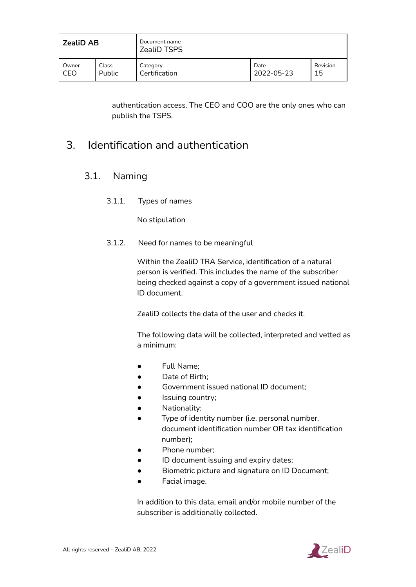| <b>ZealiD AB</b> |        | Document name<br><b>ZealiD TSPS</b> |            |          |  |
|------------------|--------|-------------------------------------|------------|----------|--|
| Owner            | Class  | Category                            | Date       | Revision |  |
| CEO              | Public | Certification                       | 2022-05-23 | 15       |  |

authentication access. The CEO and COO are the only ones who can publish the TSPS.

# 3. Identification and authentication

# <span id="page-16-0"></span>3.1. Naming

3.1.1. Types of names

No stipulation

<span id="page-16-1"></span>3.1.2. Need for names to be meaningful

Within the ZealiD TRA Service, identification of a natural person is verified. This includes the name of the subscriber being checked against a copy of a government issued national ID document.

ZealiD collects the data of the user and checks it.

The following data will be collected, interpreted and vetted as a minimum:

- Full Name;
- Date of Birth;
- Government issued national ID document;
- Issuing country;
- Nationality;
- Type of identity number (i.e. personal number, document identification number OR tax identification number);
- Phone number;
- ID document issuing and expiry dates;
- Biometric picture and signature on ID Document;
- Facial image.

In addition to this data, email and/or mobile number of the subscriber is additionally collected.

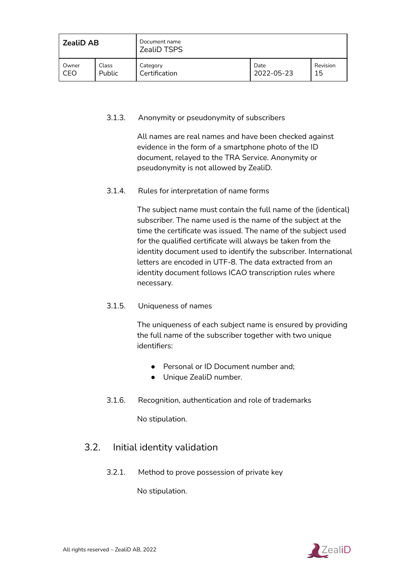| <b>ZealiD AB</b> |               | Document name<br><b>ZealiD TSPS</b> |            |          |
|------------------|---------------|-------------------------------------|------------|----------|
| Owner            | Class         | Category                            | Date       | Revision |
| CEO              | <b>Public</b> | Certification                       | 2022-05-23 | 15       |

#### <span id="page-17-0"></span>3.1.3. Anonymity or pseudonymity of subscribers

All names are real names and have been checked against evidence in the form of a smartphone photo of the ID document, relayed to the TRA Service. Anonymity or pseudonymity is not allowed by ZealiD.

#### <span id="page-17-1"></span>3.1.4. Rules for interpretation of name forms

The subject name must contain the full name of the (identical) subscriber. The name used is the name of the subject at the time the certificate was issued. The name of the subject used for the qualified certificate will always be taken from the identity document used to identify the subscriber. International letters are encoded in UTF-8. The data extracted from an identity document follows ICAO transcription rules where necessary.

#### <span id="page-17-2"></span>3.1.5. Uniqueness of names

The uniqueness of each subject name is ensured by providing the full name of the subscriber together with two unique identifiers:

- Personal or ID Document number and:
- Unique ZealiD number.
- <span id="page-17-3"></span>3.1.6. Recognition, authentication and role of trademarks

No stipulation.

### <span id="page-17-4"></span>3.2. Initial identity validation

3.2.1. Method to prove possession of private key

No stipulation.

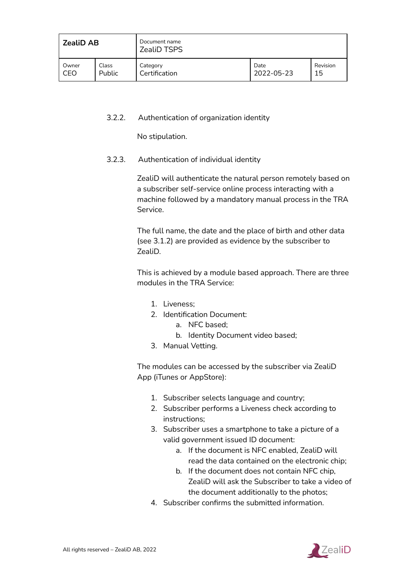| <b>ZealiD AB</b> |               | Document name<br>ZealiD TSPS |            |          |
|------------------|---------------|------------------------------|------------|----------|
| Owner            | Class         | Category                     | Date       | Revision |
| CEO              | <b>Public</b> | Certification                | 2022-05-23 | 15       |

#### <span id="page-18-0"></span>3.2.2. Authentication of organization identity

No stipulation.

#### <span id="page-18-1"></span>3.2.3. Authentication of individual identity

ZealiD will authenticate the natural person remotely based on a subscriber self-service online process interacting with a machine followed by a mandatory manual process in the TRA Service.

The full name, the date and the place of birth and other data (see 3.1.2) are provided as evidence by the subscriber to ZealiD.

This is achieved by a module based approach. There are three modules in the TRA Service:

- 1. Liveness;
- 2. Identification Document:
	- a. NFC based;
	- b. Identity Document video based;
- 3. Manual Vetting.

The modules can be accessed by the subscriber via ZealiD App (iTunes or AppStore):

- 1. Subscriber selects language and country;
- 2. Subscriber performs a Liveness check according to instructions;
- 3. Subscriber uses a smartphone to take a picture of a valid government issued ID document:
	- a. If the document is NFC enabled, ZealiD will read the data contained on the electronic chip;
	- b. If the document does not contain NFC chip, ZealiD will ask the Subscriber to take a video of the document additionally to the photos;
- 4. Subscriber confirms the submitted information.

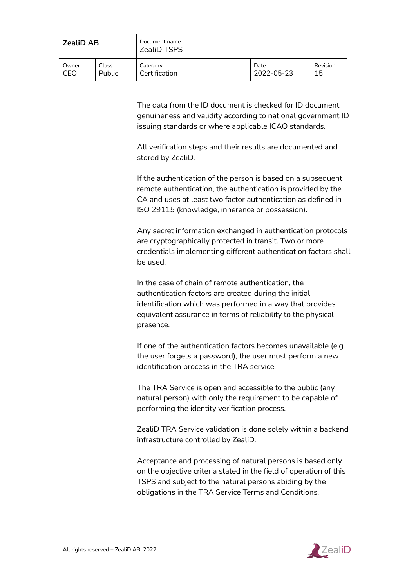| <b>ZealiD AB</b> |               | Document name<br><b>ZealiD TSPS</b> |            |          |
|------------------|---------------|-------------------------------------|------------|----------|
| Owner            | Class         | Category                            | Date       | Revision |
| CEO              | <b>Public</b> | Certification                       | 2022-05-23 | 15       |

The data from the ID document is checked for ID document genuineness and validity according to national government ID issuing standards or where applicable ICAO standards.

All verification steps and their results are documented and stored by ZealiD.

If the authentication of the person is based on a subsequent remote authentication, the authentication is provided by the CA and uses at least two factor authentication as defined in ISO 29115 (knowledge, inherence or possession).

Any secret information exchanged in authentication protocols are cryptographically protected in transit. Two or more credentials implementing different authentication factors shall be used.

In the case of chain of remote authentication, the authentication factors are created during the initial identification which was performed in a way that provides equivalent assurance in terms of reliability to the physical presence.

If one of the authentication factors becomes unavailable (e.g. the user forgets a password), the user must perform a new identification process in the TRA service.

The TRA Service is open and accessible to the public (any natural person) with only the requirement to be capable of performing the identity verification process.

ZealiD TRA Service validation is done solely within a backend infrastructure controlled by ZealiD.

Acceptance and processing of natural persons is based only on the objective criteria stated in the field of operation of this TSPS and subject to the natural persons abiding by the obligations in the TRA Service Terms and Conditions.

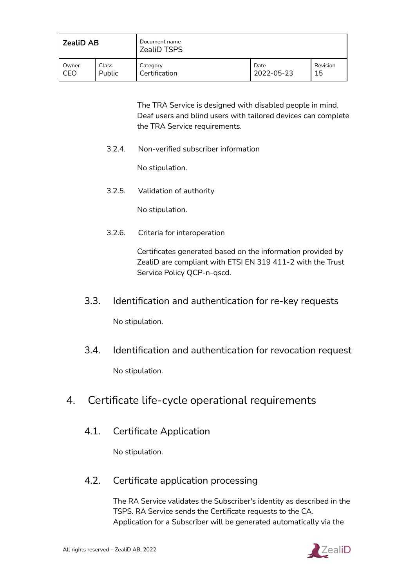| <b>ZealiD AB</b> |               | Document name<br><b>ZealiD TSPS</b> |            |          |
|------------------|---------------|-------------------------------------|------------|----------|
| Owner            | Class         | Category                            | Date       | Revision |
| CEO              | <b>Public</b> | Certification                       | 2022-05-23 | 15       |

The TRA Service is designed with disabled people in mind. Deaf users and blind users with tailored devices can complete the TRA Service requirements.

<span id="page-20-0"></span>3.2.4. Non-verified subscriber information

No stipulation.

<span id="page-20-1"></span>3.2.5. Validation of authority

No stipulation.

<span id="page-20-2"></span>3.2.6. Criteria for interoperation

Certificates generated based on the information provided by ZealiD are compliant with ETSI EN 319 411-2 with the Trust Service Policy QCP-n-qscd.

- 3.3. Identification and authentication for re-key requests No stipulation.
- <span id="page-20-3"></span>3.4. Identification and authentication for revocation request No stipulation.
- <span id="page-20-4"></span>4. Certificate life-cycle operational requirements
	- 4.1. Certificate Application

No stipulation.

# <span id="page-20-5"></span>4.2. Certificate application processing

The RA Service validates the Subscriber's identity as described in the TSPS. RA Service sends the Certificate requests to the CA. Application for a Subscriber will be generated automatically via the

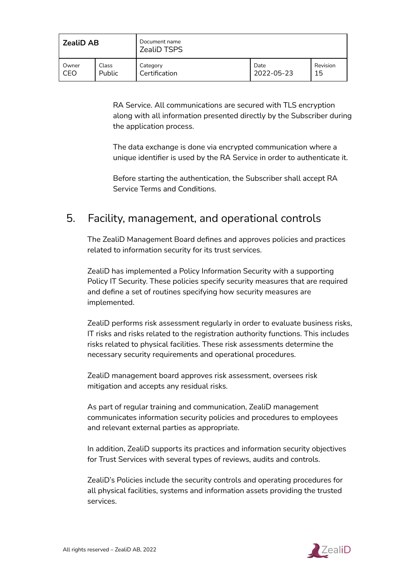| <b>ZealiD AB</b> |               | Document name<br><b>ZealiD TSPS</b> |            |          |
|------------------|---------------|-------------------------------------|------------|----------|
| Owner            | Class         | Category                            | Date       | Revision |
| CEO              | <b>Public</b> | Certification                       | 2022-05-23 | 15       |

RA Service. All communications are secured with TLS encryption along with all information presented directly by the Subscriber during the application process.

The data exchange is done via encrypted communication where a unique identifier is used by the RA Service in order to authenticate it.

Before starting the authentication, the Subscriber shall accept RA Service Terms and Conditions.

# 5. Facility, management, and operational controls

The ZealiD Management Board defines and approves policies and practices related to information security for its trust services.

ZealiD has implemented a Policy Information Security with a supporting Policy IT Security. These policies specify security measures that are required and define a set of routines specifying how security measures are implemented.

ZealiD performs risk assessment regularly in order to evaluate business risks, IT risks and risks related to the registration authority functions. This includes risks related to physical facilities. These risk assessments determine the necessary security requirements and operational procedures.

ZealiD management board approves risk assessment, oversees risk mitigation and accepts any residual risks.

As part of regular training and communication, ZealiD management communicates information security policies and procedures to employees and relevant external parties as appropriate.

In addition, ZealiD supports its practices and information security objectives for Trust Services with several types of reviews, audits and controls.

ZealiD's Policies include the security controls and operating procedures for all physical facilities, systems and information assets providing the trusted services.

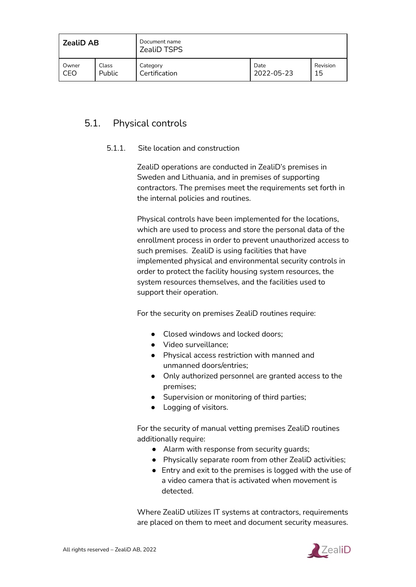| <b>ZealiD AB</b> |               | Document name<br>ZealiD TSPS |            |          |
|------------------|---------------|------------------------------|------------|----------|
| Owner            | Class         | Category                     | Date       | Revision |
| CEO              | <b>Public</b> | Certification                | 2022-05-23 | 15       |

# <span id="page-22-0"></span>5.1. Physical controls

#### 5.1.1. Site location and construction

ZealiD operations are conducted in ZealiD's premises in Sweden and Lithuania, and in premises of supporting contractors. The premises meet the requirements set forth in the internal policies and routines.

Physical controls have been implemented for the locations, which are used to process and store the personal data of the enrollment process in order to prevent unauthorized access to such premises. ZealiD is using facilities that have implemented physical and environmental security controls in order to protect the facility housing system resources, the system resources themselves, and the facilities used to support their operation.

For the security on premises ZealiD routines require:

- Closed windows and locked doors;
- Video surveillance;
- Physical access restriction with manned and unmanned doors/entries;
- Only authorized personnel are granted access to the premises;
- Supervision or monitoring of third parties;
- Logging of visitors.

For the security of manual vetting premises ZealiD routines additionally require:

- Alarm with response from security quards;
- Physically separate room from other ZealiD activities;
- Entry and exit to the premises is logged with the use of a video camera that is activated when movement is detected.

Where ZealiD utilizes IT systems at contractors, requirements are placed on them to meet and document security measures.

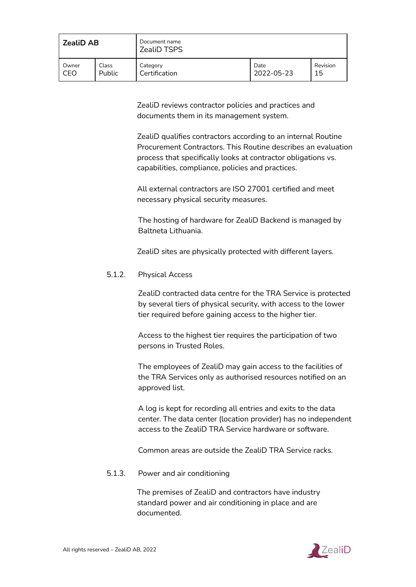| <b>ZealiD AB</b> |        | Document name<br><b>ZealiD TSPS</b> |            |          |
|------------------|--------|-------------------------------------|------------|----------|
| Owner            | Class  | Category                            | Date       | Revision |
| CEO              | Public | Certification                       | 2022-05-23 | 15       |

ZealiD reviews contractor policies and practices and documents them in its management system.

ZealiD qualifies contractors according to an internal Routine Procurement Contractors. This Routine describes an evaluation process that specifically looks at contractor obligations vs. capabilities, compliance, policies and practices.

All external contractors are ISO 27001 certified and meet necessary physical security measures.

The hosting of hardware for ZealiD Backend is managed by Baltneta Lithuania.

ZealiD sites are physically protected with different layers.

#### <span id="page-23-0"></span>5.1.2. Physical Access

ZealiD contracted data centre for the TRA Service is protected by several tiers of physical security, with access to the lower tier required before gaining access to the higher tier.

Access to the highest tier requires the participation of two persons in Trusted Roles.

The employees of ZealiD may gain access to the facilities of the TRA Services only as authorised resources notified on an approved list.

A log is kept for recording all entries and exits to the data center. The data center (location provider) has no independent access to the ZealiD TRA Service hardware or software.

Common areas are outside the ZealiD TRA Service racks.

#### <span id="page-23-1"></span>5.1.3. Power and air conditioning

The premises of ZealiD and contractors have industry standard power and air conditioning in place and are documented.

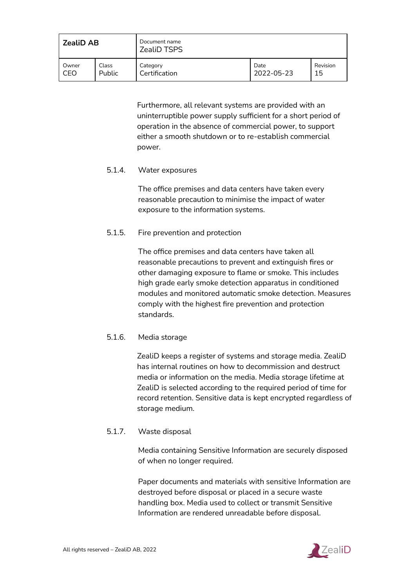| <b>ZealiD AB</b> |               | Document name<br><b>ZealiD TSPS</b> |            |          |
|------------------|---------------|-------------------------------------|------------|----------|
| Owner            | Class         | Category                            | Date       | Revision |
| CEO              | <b>Public</b> | Certification                       | 2022-05-23 | 15       |

Furthermore, all relevant systems are provided with an uninterruptible power supply sufficient for a short period of operation in the absence of commercial power, to support either a smooth shutdown or to re-establish commercial power.

#### <span id="page-24-0"></span>5.1.4. Water exposures

The office premises and data centers have taken every reasonable precaution to minimise the impact of water exposure to the information systems.

#### <span id="page-24-1"></span>5.1.5. Fire prevention and protection

The office premises and data centers have taken all reasonable precautions to prevent and extinguish fires or other damaging exposure to flame or smoke. This includes high grade early smoke detection apparatus in conditioned modules and monitored automatic smoke detection. Measures comply with the highest fire prevention and protection standards.

#### <span id="page-24-2"></span>5.1.6. Media storage

ZealiD keeps a register of systems and storage media. ZealiD has internal routines on how to decommission and destruct media or information on the media. Media storage lifetime at ZealiD is selected according to the required period of time for record retention. Sensitive data is kept encrypted regardless of storage medium.

#### <span id="page-24-3"></span>5.1.7. Waste disposal

Media containing Sensitive Information are securely disposed of when no longer required.

Paper documents and materials with sensitive Information are destroyed before disposal or placed in a secure waste handling box. Media used to collect or transmit Sensitive Information are rendered unreadable before disposal.

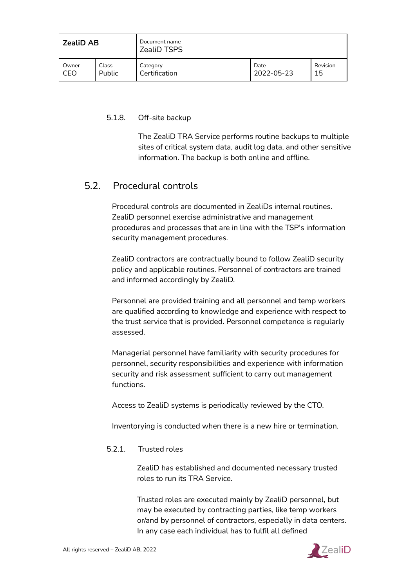| <b>ZealiD AB</b> |               | Document name<br><b>ZealiD TSPS</b> |            |          |
|------------------|---------------|-------------------------------------|------------|----------|
| Owner            | Class         | Category                            | Date       | Revision |
| CEO              | <b>Public</b> | Certification                       | 2022-05-23 | 15       |

#### <span id="page-25-0"></span>5.1.8. Off-site backup

The ZealiD TRA Service performs routine backups to multiple sites of critical system data, audit log data, and other sensitive information. The backup is both online and offline.

# <span id="page-25-1"></span>5.2. Procedural controls

Procedural controls are documented in ZealiDs internal routines. ZealiD personnel exercise administrative and management procedures and processes that are in line with the TSP's information security management procedures.

ZealiD contractors are contractually bound to follow ZealiD security policy and applicable routines. Personnel of contractors are trained and informed accordingly by ZealiD.

Personnel are provided training and all personnel and temp workers are qualified according to knowledge and experience with respect to the trust service that is provided. Personnel competence is regularly assessed.

Managerial personnel have familiarity with security procedures for personnel, security responsibilities and experience with information security and risk assessment sufficient to carry out management functions.

Access to ZealiD systems is periodically reviewed by the CTO.

Inventorying is conducted when there is a new hire or termination.

#### <span id="page-25-2"></span>5.2.1. Trusted roles

ZealiD has established and documented necessary trusted roles to run its TRA Service.

Trusted roles are executed mainly by ZealiD personnel, but may be executed by contracting parties, like temp workers or/and by personnel of contractors, especially in data centers. In any case each individual has to fulfil all defined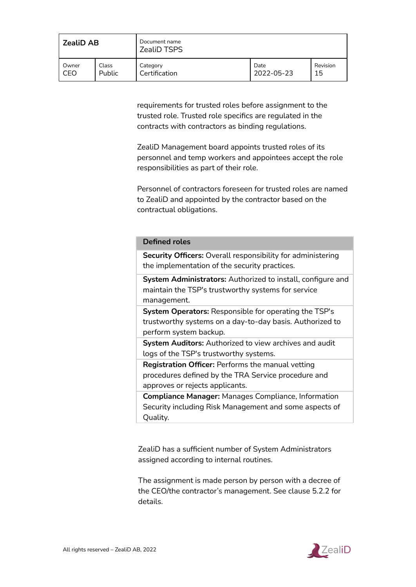| <b>ZealiD AB</b> |               | Document name<br><b>ZealiD TSPS</b> |            |          |
|------------------|---------------|-------------------------------------|------------|----------|
| Owner            | Class         | Category                            | Date       | Revision |
| CEO              | <b>Public</b> | Certification                       | 2022-05-23 | 15       |

requirements for trusted roles before assignment to the trusted role. Trusted role specifics are regulated in the contracts with contractors as binding regulations.

ZealiD Management board appoints trusted roles of its personnel and temp workers and appointees accept the role responsibilities as part of their role.

Personnel of contractors foreseen for trusted roles are named to ZealiD and appointed by the contractor based on the contractual obligations.

#### **Defined roles**

**Security Officers:** Overall responsibility for administering the implementation of the security practices.

**System Administrators:** Authorized to install, configure and maintain the TSP's trustworthy systems for service management.

**System Operators:** Responsible for operating the TSP's trustworthy systems on a day-to-day basis. Authorized to perform system backup.

**System Auditors:** Authorized to view archives and audit logs of the TSP's trustworthy systems.

**Registration Officer:** Performs the manual vetting procedures defined by the TRA Service procedure and approves or rejects applicants.

**Compliance Manager:** Manages Compliance, Information Security including Risk Management and some aspects of Quality.

ZealiD has a sufficient number of System Administrators assigned according to internal routines.

The assignment is made person by person with a decree of the CEO/the contractor's management. See clause 5.2.2 for details.

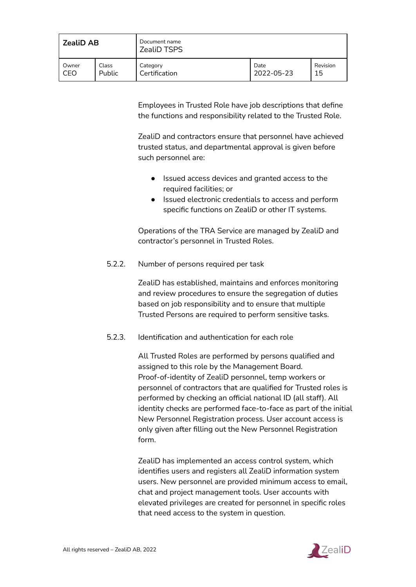| <b>ZealiD AB</b> |               | Document name<br><b>ZealiD TSPS</b> |            |          |
|------------------|---------------|-------------------------------------|------------|----------|
| Owner            | Class         | Category                            | Date       | Revision |
| CEO              | <b>Public</b> | Certification                       | 2022-05-23 | 15       |

Employees in Trusted Role have job descriptions that define the functions and responsibility related to the Trusted Role.

ZealiD and contractors ensure that personnel have achieved trusted status, and departmental approval is given before such personnel are:

- Issued access devices and granted access to the required facilities; or
- Issued electronic credentials to access and perform specific functions on ZealiD or other IT systems.

Operations of the TRA Service are managed by ZealiD and contractor's personnel in Trusted Roles.

<span id="page-27-0"></span>5.2.2. Number of persons required per task

ZealiD has established, maintains and enforces monitoring and review procedures to ensure the segregation of duties based on job responsibility and to ensure that multiple Trusted Persons are required to perform sensitive tasks.

<span id="page-27-1"></span>5.2.3. Identification and authentication for each role

All Trusted Roles are performed by persons qualified and assigned to this role by the Management Board. Proof-of-identity of ZealiD personnel, temp workers or personnel of contractors that are qualified for Trusted roles is performed by checking an official national ID (all staff). All identity checks are performed face-to-face as part of the initial New Personnel Registration process. User account access is only given after filling out the New Personnel Registration form.

ZealiD has implemented an access control system, which identifies users and registers all ZealiD information system users. New personnel are provided minimum access to email, chat and project management tools. User accounts with elevated privileges are created for personnel in specific roles that need access to the system in question.

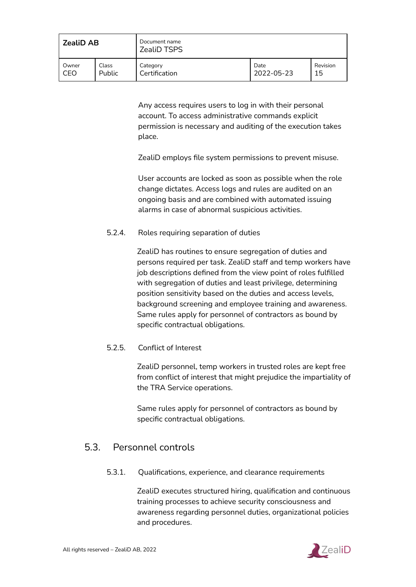| <b>ZealiD AB</b> |               | Document name<br><b>ZealiD TSPS</b> |            |          |
|------------------|---------------|-------------------------------------|------------|----------|
| Owner            | Class         | Category                            | Date       | Revision |
| CEO              | <b>Public</b> | Certification                       | 2022-05-23 | 15       |

Any access requires users to log in with their personal account. To access administrative commands explicit permission is necessary and auditing of the execution takes place.

ZealiD employs file system permissions to prevent misuse.

User accounts are locked as soon as possible when the role change dictates. Access logs and rules are audited on an ongoing basis and are combined with automated issuing alarms in case of abnormal suspicious activities.

#### <span id="page-28-0"></span>5.2.4. Roles requiring separation of duties

ZealiD has routines to ensure segregation of duties and persons required per task. ZealiD staff and temp workers have job descriptions defined from the view point of roles fulfilled with segregation of duties and least privilege, determining position sensitivity based on the duties and access levels, background screening and employee training and awareness. Same rules apply for personnel of contractors as bound by specific contractual obligations.

#### <span id="page-28-1"></span>5.2.5. Conflict of Interest

ZealiD personnel, temp workers in trusted roles are kept free from conflict of interest that might prejudice the impartiality of the TRA Service operations.

Same rules apply for personnel of contractors as bound by specific contractual obligations.

# <span id="page-28-2"></span>5.3. Personnel controls

5.3.1. Qualifications, experience, and clearance requirements

ZealiD executes structured hiring, qualification and continuous training processes to achieve security consciousness and awareness regarding personnel duties, organizational policies and procedures.

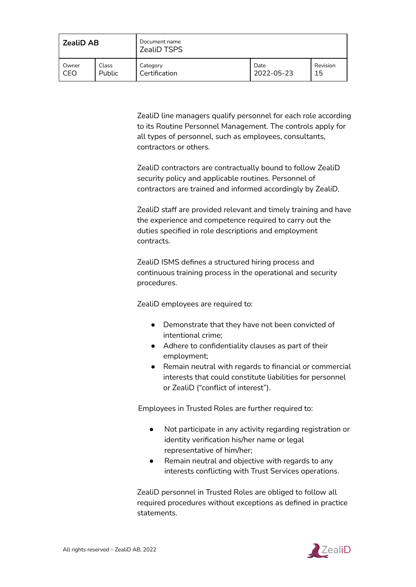| <b>ZealiD AB</b> |        | Document name<br><b>ZealiD TSPS</b> |            |          |
|------------------|--------|-------------------------------------|------------|----------|
| Owner            | Class  | Category                            | Date       | Revision |
| CEO              | Public | Certification                       | 2022-05-23 | 15       |

ZealiD line managers qualify personnel for each role according to its Routine Personnel Management. The controls apply for all types of personnel, such as employees, consultants, contractors or others.

ZealiD contractors are contractually bound to follow ZealiD security policy and applicable routines. Personnel of contractors are trained and informed accordingly by ZealiD.

ZealiD staff are provided relevant and timely training and have the experience and competence required to carry out the duties specified in role descriptions and employment contracts.

ZealiD ISMS defines a structured hiring process and continuous training process in the operational and security procedures.

ZealiD employees are required to:

- Demonstrate that they have not been convicted of intentional crime;
- Adhere to confidentiality clauses as part of their employment;
- Remain neutral with regards to financial or commercial interests that could constitute liabilities for personnel or ZealiD ("conflict of interest").

Employees in Trusted Roles are further required to:

- Not participate in any activity regarding registration or identity verification his/her name or legal representative of him/her;
- Remain neutral and objective with regards to any interests conflicting with Trust Services operations.

ZealiD personnel in Trusted Roles are obliged to follow all required procedures without exceptions as defined in practice statements.

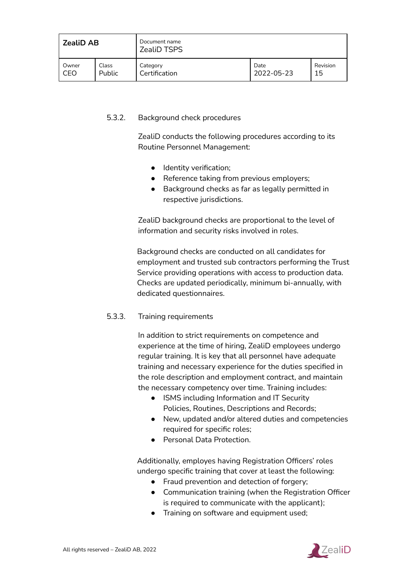| <b>ZealiD AB</b> |               | Document name<br><b>ZealiD TSPS</b> |            |          |
|------------------|---------------|-------------------------------------|------------|----------|
| Owner            | Class         | Category                            | Date       | Revision |
| CEO              | <b>Public</b> | Certification                       | 2022-05-23 | 15       |

#### <span id="page-30-0"></span>5.3.2. Background check procedures

ZealiD conducts the following procedures according to its Routine Personnel Management:

- Identity verification;
- Reference taking from previous employers;
- Background checks as far as legally permitted in respective jurisdictions.

ZealiD background checks are proportional to the level of information and security risks involved in roles.

Background checks are conducted on all candidates for employment and trusted sub contractors performing the Trust Service providing operations with access to production data. Checks are updated periodically, minimum bi-annually, with dedicated questionnaires.

#### <span id="page-30-1"></span>5.3.3. Training requirements

In addition to strict requirements on competence and experience at the time of hiring, ZealiD employees undergo regular training. It is key that all personnel have adequate training and necessary experience for the duties specified in the role description and employment contract, and maintain the necessary competency over time. Training includes:

- ISMS including Information and IT Security Policies, Routines, Descriptions and Records;
- New, updated and/or altered duties and competencies required for specific roles;
- Personal Data Protection.

Additionally, employes having Registration Officers' roles undergo specific training that cover at least the following:

- Fraud prevention and detection of forgery;
- Communication training (when the Registration Officer is required to communicate with the applicant);
- Training on software and equipment used;

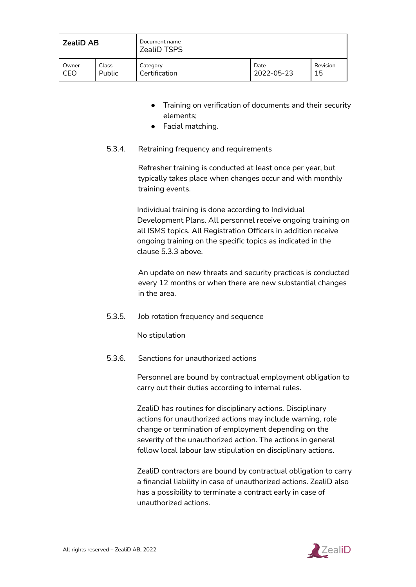| <b>ZealiD AB</b> |               | Document name<br><b>ZealiD TSPS</b> |            |          |
|------------------|---------------|-------------------------------------|------------|----------|
| Owner            | Class         | Category                            | Date       | Revision |
| CEO              | <b>Public</b> | Certification                       | 2022-05-23 | 15       |

- Training on verification of documents and their security elements;
- Facial matching.
- <span id="page-31-0"></span>5.3.4. Retraining frequency and requirements

Refresher training is conducted at least once per year, but typically takes place when changes occur and with monthly training events.

Individual training is done according to Individual Development Plans. All personnel receive ongoing training on all ISMS topics. All Registration Officers in addition receive ongoing training on the specific topics as indicated in the clause 5.3.3 above.

An update on new threats and security practices is conducted every 12 months or when there are new substantial changes in the area.

<span id="page-31-1"></span>5.3.5. Job rotation frequency and sequence

No stipulation

<span id="page-31-2"></span>5.3.6. Sanctions for unauthorized actions

Personnel are bound by contractual employment obligation to carry out their duties according to internal rules.

ZealiD has routines for disciplinary actions. Disciplinary actions for unauthorized actions may include warning, role change or termination of employment depending on the severity of the unauthorized action. The actions in general follow local labour law stipulation on disciplinary actions.

ZealiD contractors are bound by contractual obligation to carry a financial liability in case of unauthorized actions. ZealiD also has a possibility to terminate a contract early in case of unauthorized actions.

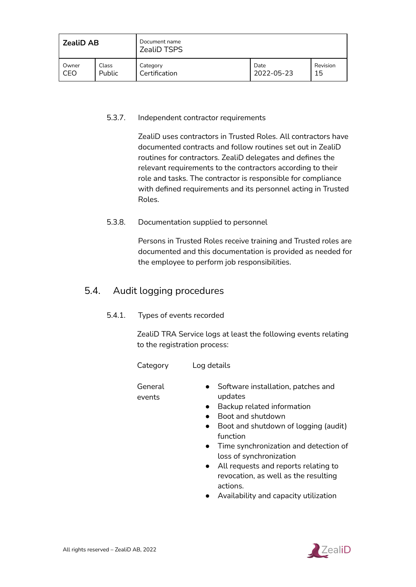| <b>ZealiD AB</b> |               | Document name<br><b>ZealiD TSPS</b> |            |          |
|------------------|---------------|-------------------------------------|------------|----------|
| Owner            | Class         | Category                            | Date       | Revision |
| CEO              | <b>Public</b> | Certification                       | 2022-05-23 | 15       |

#### <span id="page-32-0"></span>5.3.7. Independent contractor requirements

ZealiD uses contractors in Trusted Roles. All contractors have documented contracts and follow routines set out in ZealiD routines for contractors. ZealiD delegates and defines the relevant requirements to the contractors according to their role and tasks. The contractor is responsible for compliance with defined requirements and its personnel acting in Trusted Roles.

#### <span id="page-32-1"></span>5.3.8. Documentation supplied to personnel

Persons in Trusted Roles receive training and Trusted roles are documented and this documentation is provided as needed for the employee to perform job responsibilities.

# <span id="page-32-2"></span>5.4. Audit logging procedures

5.4.1. Types of events recorded

ZealiD TRA Service logs at least the following events relating to the registration process:

- Category Log details
- General events
- Software installation, patches and updates
- Backup related information
- Boot and shutdown
- Boot and shutdown of logging (audit) function
- Time synchronization and detection of loss of synchronization
- All requests and reports relating to revocation, as well as the resulting actions.
- Availability and capacity utilization

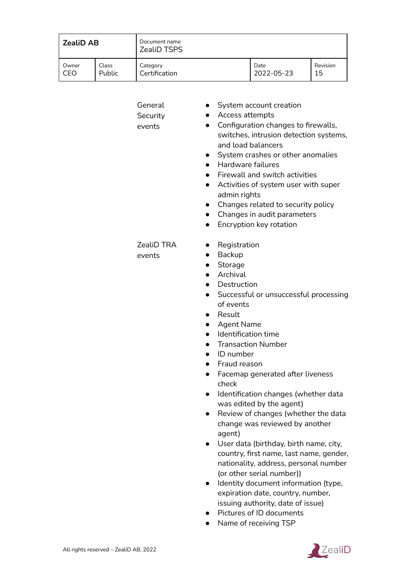| <b>ZealiD AB</b> |        | Document name<br><b>ZealiD TSPS</b> |            |          |
|------------------|--------|-------------------------------------|------------|----------|
| Owner            | Class  | Category                            | Date       | Revision |
| CEO              | Public | Certification                       | 2022-05-23 | 15       |

| General<br>Security<br>events | System account creation<br>Access attempts<br>Configuration changes to firewalls,<br>$\bullet$<br>switches, intrusion detection systems,<br>and load balancers<br>System crashes or other anomalies<br>Hardware failures<br>$\bullet$<br>Firewall and switch activities<br>Activities of system user with super<br>$\bullet$<br>admin rights<br>Changes related to security policy<br>Changes in audit parameters<br>$\bullet$<br>Encryption key rotation<br>$\bullet$                                                                                                                                                                                                                                                                                                    |
|-------------------------------|---------------------------------------------------------------------------------------------------------------------------------------------------------------------------------------------------------------------------------------------------------------------------------------------------------------------------------------------------------------------------------------------------------------------------------------------------------------------------------------------------------------------------------------------------------------------------------------------------------------------------------------------------------------------------------------------------------------------------------------------------------------------------|
| ZealiD TRA<br>events          | Registration<br>Backup<br>Storage<br>Archival<br>$\bullet$<br>Destruction<br>Successful or unsuccessful processing<br>$\bullet$<br>of events<br>Result<br>$\bullet$<br><b>Agent Name</b><br>$\bullet$<br>Identification time<br>$\bullet$<br><b>Transaction Number</b><br>ID number<br>Fraud reason<br>Facemap generated after liveness<br>$\bullet$<br>check<br>Identification changes (whether data<br>$\bullet$<br>was edited by the agent)<br>Review of changes (whether the data<br>change was reviewed by another<br>agent)<br>User data (birthday, birth name, city,<br>country, first name, last name, gender,<br>nationality, address, personal number<br>(or other serial number))<br>Identity document information (type,<br>expiration date, country, number, |
|                               | issuing authority, date of issue)                                                                                                                                                                                                                                                                                                                                                                                                                                                                                                                                                                                                                                                                                                                                         |

- Pictures of ID documents
- Name of receiving TSP

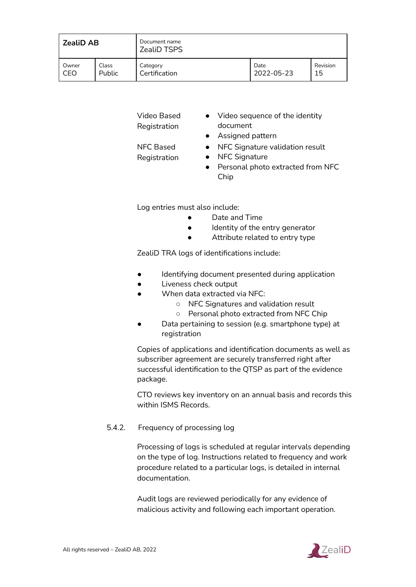| <b>ZealiD AB</b> |               | Document name<br><b>ZealiD TSPS</b> |            |          |
|------------------|---------------|-------------------------------------|------------|----------|
| Owner            | Class         | Category                            | Date       | Revision |
| CEC              | <b>Public</b> | Certification                       | 2022-05-23 | 15       |

| Video Based  | Video sequence of the identity    |
|--------------|-----------------------------------|
| Registration | document                          |
|              | • Assigned pattern                |
| NFC Based    | • NFC Signature validation result |

- NFC Signature
- Personal photo extracted from NFC Chip

Log entries must also include:

Registration

- Date and Time
- Identity of the entry generator
- Attribute related to entry type

ZealiD TRA logs of identifications include:

- Identifying document presented during application
- Liveness check output
- When data extracted via NFC:
	- NFC Signatures and validation result
	- Personal photo extracted from NFC Chip
- Data pertaining to session (e.g. smartphone type) at registration

Copies of applications and identification documents as well as subscriber agreement are securely transferred right after successful identification to the QTSP as part of the evidence package.

CTO reviews key inventory on an annual basis and records this within ISMS Records.

#### <span id="page-34-0"></span>5.4.2. Frequency of processing log

Processing of logs is scheduled at regular intervals depending on the type of log. Instructions related to frequency and work procedure related to a particular logs, is detailed in internal documentation.

Audit logs are reviewed periodically for any evidence of malicious activity and following each important operation.

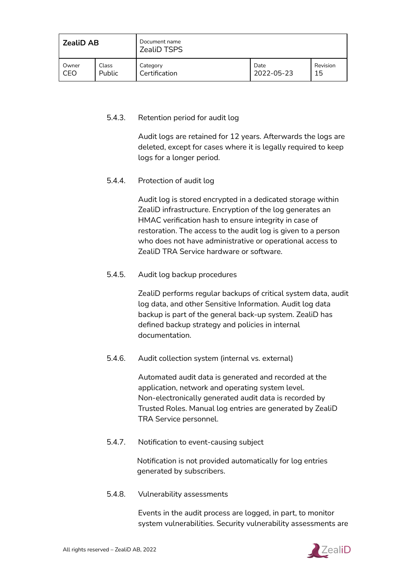| <b>ZealiD AB</b> |               | Document name<br><b>ZealiD TSPS</b> |            |          |
|------------------|---------------|-------------------------------------|------------|----------|
| Owner            | Class         | Category                            | Date       | Revision |
| CEO              | <b>Public</b> | Certification                       | 2022-05-23 | 15       |

#### <span id="page-35-0"></span>5.4.3. Retention period for audit log

Audit logs are retained for 12 years. Afterwards the logs are deleted, except for cases where it is legally required to keep logs for a longer period.

<span id="page-35-1"></span>5.4.4. Protection of audit log

Audit log is stored encrypted in a dedicated storage within ZealiD infrastructure. Encryption of the log generates an HMAC verification hash to ensure integrity in case of restoration. The access to the audit log is given to a person who does not have administrative or operational access to ZealiD TRA Service hardware or software.

<span id="page-35-2"></span>5.4.5. Audit log backup procedures

ZealiD performs regular backups of critical system data, audit log data, and other Sensitive Information. Audit log data backup is part of the general back-up system. ZealiD has defined backup strategy and policies in internal documentation.

<span id="page-35-3"></span>5.4.6. Audit collection system (internal vs. external)

Automated audit data is generated and recorded at the application, network and operating system level. Non-electronically generated audit data is recorded by Trusted Roles. Manual log entries are generated by ZealiD TRA Service personnel.

<span id="page-35-4"></span>5.4.7. Notification to event-causing subject

Notification is not provided automatically for log entries generated by subscribers.

<span id="page-35-5"></span>5.4.8. Vulnerability assessments

Events in the audit process are logged, in part, to monitor system vulnerabilities. Security vulnerability assessments are

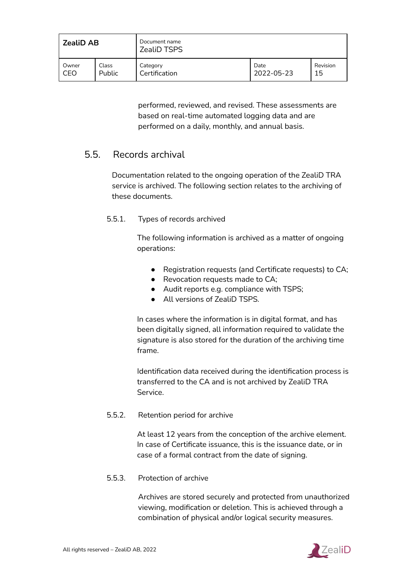| <b>ZealiD AB</b> |        | Document name<br><b>ZealiD TSPS</b> |            |          |  |
|------------------|--------|-------------------------------------|------------|----------|--|
| Owner            | Class  | Category                            | Date       | Revision |  |
| CEO              | Public | Certification                       | 2022-05-23 | 15       |  |

performed, reviewed, and revised. These assessments are based on real-time automated logging data and are performed on a daily, monthly, and annual basis.

# <span id="page-36-0"></span>5.5. Records archival

Documentation related to the ongoing operation of the ZealiD TRA service is archived. The following section relates to the archiving of these documents.

#### <span id="page-36-1"></span>5.5.1. Types of records archived

The following information is archived as a matter of ongoing operations:

- Registration requests (and Certificate requests) to CA;
- Revocation requests made to CA:
- Audit reports e.g. compliance with TSPS:
- All versions of ZealiD TSPS.

In cases where the information is in digital format, and has been digitally signed, all information required to validate the signature is also stored for the duration of the archiving time frame.

Identification data received during the identification process is transferred to the CA and is not archived by ZealiD TRA Service.

#### <span id="page-36-2"></span>5.5.2. Retention period for archive

At least 12 years from the conception of the archive element. In case of Certificate issuance, this is the issuance date, or in case of a formal contract from the date of signing.

#### <span id="page-36-3"></span>5.5.3. Protection of archive

Archives are stored securely and protected from unauthorized viewing, modification or deletion. This is achieved through a combination of physical and/or logical security measures.

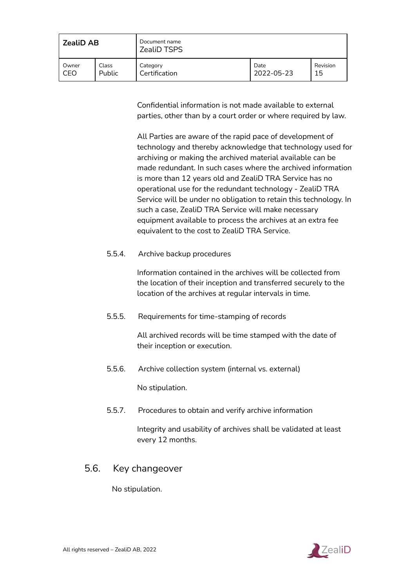| <b>ZealiD AB</b> |        | Document name<br><b>ZealiD TSPS</b> |            |          |
|------------------|--------|-------------------------------------|------------|----------|
| Owner            | Class  | Category                            | Date       | Revision |
| CEO              | Public | Certification                       | 2022-05-23 | 15       |

Confidential information is not made available to external parties, other than by a court order or where required by law.

All Parties are aware of the rapid pace of development of technology and thereby acknowledge that technology used for archiving or making the archived material available can be made redundant. In such cases where the archived information is more than 12 years old and ZealiD TRA Service has no operational use for the redundant technology - ZealiD TRA Service will be under no obligation to retain this technology. In such a case, ZealiD TRA Service will make necessary equipment available to process the archives at an extra fee equivalent to the cost to ZealiD TRA Service.

<span id="page-37-0"></span>5.5.4. Archive backup procedures

Information contained in the archives will be collected from the location of their inception and transferred securely to the location of the archives at regular intervals in time.

<span id="page-37-1"></span>5.5.5. Requirements for time-stamping of records

All archived records will be time stamped with the date of their inception or execution.

<span id="page-37-2"></span>5.5.6. Archive collection system (internal vs. external)

No stipulation.

<span id="page-37-3"></span>5.5.7. Procedures to obtain and verify archive information

Integrity and usability of archives shall be validated at least every 12 months.

### <span id="page-37-4"></span>5.6. Key changeover

No stipulation.

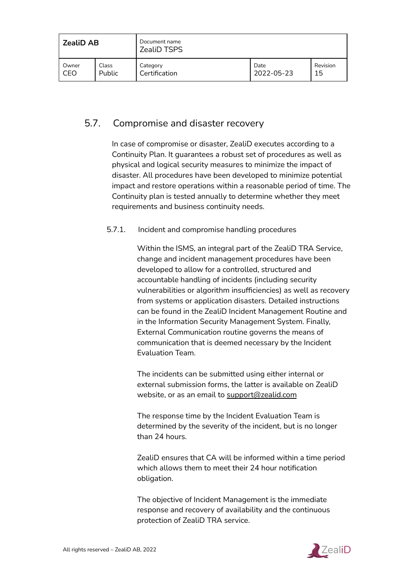| <b>ZealiD AB</b> |        | Document name<br><b>ZealiD TSPS</b> |            |          |
|------------------|--------|-------------------------------------|------------|----------|
| Owner            | Class  | Category                            | Date       | Revision |
| CEO              | Public | Certification                       | 2022-05-23 | 15       |

# <span id="page-38-0"></span>5.7. Compromise and disaster recovery

In case of compromise or disaster, ZealiD executes according to a Continuity Plan. It guarantees a robust set of procedures as well as physical and logical security measures to minimize the impact of disaster. All procedures have been developed to minimize potential impact and restore operations within a reasonable period of time. The Continuity plan is tested annually to determine whether they meet requirements and business continuity needs.

#### <span id="page-38-1"></span>5.7.1. Incident and compromise handling procedures

Within the ISMS, an integral part of the ZealiD TRA Service, change and incident management procedures have been developed to allow for a controlled, structured and accountable handling of incidents (including security vulnerabilities or algorithm insufficiencies) as well as recovery from systems or application disasters. Detailed instructions can be found in the ZealiD Incident Management Routine and in the Information Security Management System. Finally, External Communication routine governs the means of communication that is deemed necessary by the Incident Evaluation Team.

The incidents can be submitted using either internal or external submission forms, the latter is available on ZealiD website, or as an email to [support@zealid.com](mailto:support@zealid.com)

The response time by the Incident Evaluation Team is determined by the severity of the incident, but is no longer than 24 hours.

ZealiD ensures that CA will be informed within a time period which allows them to meet their 24 hour notification obligation.

The objective of Incident Management is the immediate response and recovery of availability and the continuous protection of ZealiD TRA service.

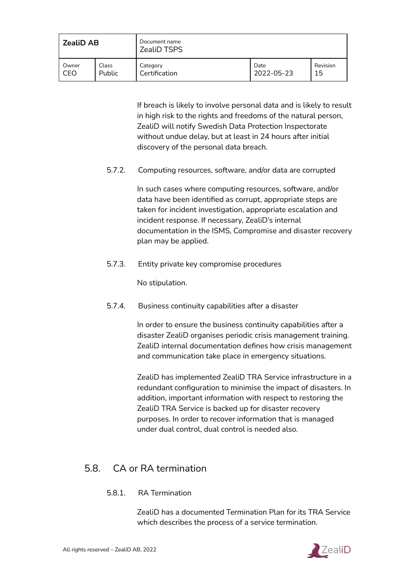| <b>ZealiD AB</b> |        | Document name<br><b>ZealiD TSPS</b> |            |          |
|------------------|--------|-------------------------------------|------------|----------|
| Owner            | Class  | Category                            | Date       | Revision |
| CEO              | Public | Certification                       | 2022-05-23 | 15       |

If breach is likely to involve personal data and is likely to result in high risk to the rights and freedoms of the natural person, ZealiD will notify Swedish Data Protection Inspectorate without undue delay, but at least in 24 hours after initial discovery of the personal data breach.

<span id="page-39-0"></span>5.7.2. Computing resources, software, and/or data are corrupted

In such cases where computing resources, software, and/or data have been identified as corrupt, appropriate steps are taken for incident investigation, appropriate escalation and incident response. If necessary, ZealiD's internal documentation in the ISMS, Compromise and disaster recovery plan may be applied.

<span id="page-39-1"></span>5.7.3. Entity private key compromise procedures

No stipulation.

<span id="page-39-2"></span>5.7.4. Business continuity capabilities after a disaster

In order to ensure the business continuity capabilities after a disaster ZealiD organises periodic crisis management training. ZealiD internal documentation defines how crisis management and communication take place in emergency situations.

ZealiD has implemented ZealiD TRA Service infrastructure in a redundant configuration to minimise the impact of disasters. In addition, important information with respect to restoring the ZealiD TRA Service is backed up for disaster recovery purposes. In order to recover information that is managed under dual control, dual control is needed also.

# <span id="page-39-4"></span><span id="page-39-3"></span>5.8. CA or RA termination

#### 5.8.1. RA Termination

ZealiD has a documented Termination Plan for its TRA Service which describes the process of a service termination.

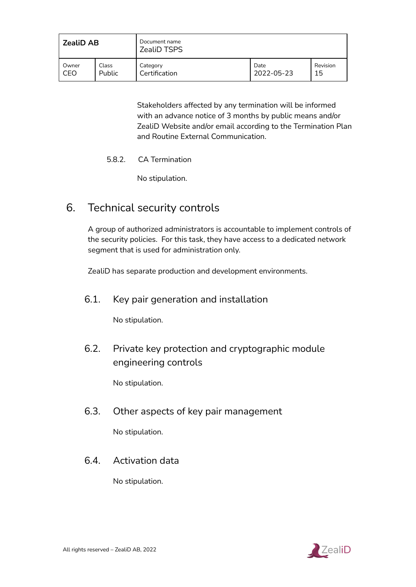| <b>ZealiD AB</b> |               | Document name<br><b>ZealiD TSPS</b> |            |          |
|------------------|---------------|-------------------------------------|------------|----------|
| Owner            | Class         | Category                            | Date       | Revision |
| CEO              | <b>Public</b> | Certification                       | 2022-05-23 | 15       |

Stakeholders affected by any termination will be informed with an advance notice of 3 months by public means and/or ZealiD Website and/or email according to the Termination Plan and Routine External Communication.

#### <span id="page-40-0"></span>5.8.2. CA Termination

No stipulation.

# <span id="page-40-1"></span>6. Technical security controls

A group of authorized administrators is accountable to implement controls of the security policies. For this task, they have access to a dedicated network segment that is used for administration only.

<span id="page-40-2"></span>ZealiD has separate production and development environments.

### 6.1. Key pair generation and installation

No stipulation.

<span id="page-40-3"></span>6.2. Private key protection and cryptographic module engineering controls

No stipulation.

<span id="page-40-4"></span>6.3. Other aspects of key pair management

No stipulation.

# <span id="page-40-5"></span>6.4. Activation data

No stipulation.

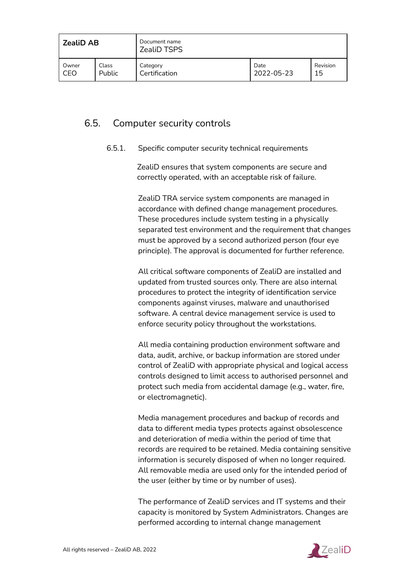| <b>ZealiD AB</b> |        | Document name<br><b>ZealiD TSPS</b> |            |          |
|------------------|--------|-------------------------------------|------------|----------|
| Owner            | Class  | Category                            | Date       | Revision |
| CEO              | Public | Certification                       | 2022-05-23 | 15       |

# <span id="page-41-1"></span><span id="page-41-0"></span>6.5. Computer security controls

#### 6.5.1. Specific computer security technical requirements

ZealiD ensures that system components are secure and correctly operated, with an acceptable risk of failure.

ZealiD TRA service system components are managed in accordance with defined change management procedures. These procedures include system testing in a physically separated test environment and the requirement that changes must be approved by a second authorized person (four eye principle). The approval is documented for further reference.

All critical software components of ZealiD are installed and updated from trusted sources only. There are also internal procedures to protect the integrity of identification service components against viruses, malware and unauthorised software. A central device management service is used to enforce security policy throughout the workstations.

All media containing production environment software and data, audit, archive, or backup information are stored under control of ZealiD with appropriate physical and logical access controls designed to limit access to authorised personnel and protect such media from accidental damage (e.g., water, fire, or electromagnetic).

Media management procedures and backup of records and data to different media types protects against obsolescence and deterioration of media within the period of time that records are required to be retained. Media containing sensitive information is securely disposed of when no longer required. All removable media are used only for the intended period of the user (either by time or by number of uses).

The performance of ZealiD services and IT systems and their capacity is monitored by System Administrators. Changes are performed according to internal change management

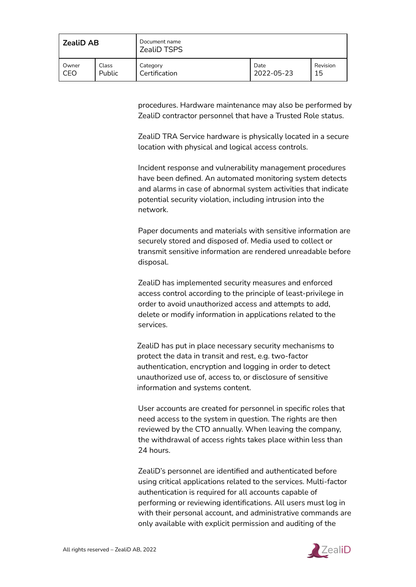| <b>ZealiD AB</b> |               | Document name<br><b>ZealiD TSPS</b> |            |          |
|------------------|---------------|-------------------------------------|------------|----------|
| Owner            | Class         | Category                            | Date       | Revision |
| CEO              | <b>Public</b> | Certification                       | 2022-05-23 | 15       |

procedures. Hardware maintenance may also be performed by ZealiD contractor personnel that have a Trusted Role status.

ZealiD TRA Service hardware is physically located in a secure location with physical and logical access controls.

Incident response and vulnerability management procedures have been defined. An automated monitoring system detects and alarms in case of abnormal system activities that indicate potential security violation, including intrusion into the network.

Paper documents and materials with sensitive information are securely stored and disposed of. Media used to collect or transmit sensitive information are rendered unreadable before disposal.

ZealiD has implemented security measures and enforced access control according to the principle of least-privilege in order to avoid unauthorized access and attempts to add, delete or modify information in applications related to the services.

ZealiD has put in place necessary security mechanisms to protect the data in transit and rest, e.g. two-factor authentication, encryption and logging in order to detect unauthorized use of, access to, or disclosure of sensitive information and systems content.

User accounts are created for personnel in specific roles that need access to the system in question. The rights are then reviewed by the CTO annually. When leaving the company, the withdrawal of access rights takes place within less than 24 hours.

ZealiD's personnel are identified and authenticated before using critical applications related to the services. Multi-factor authentication is required for all accounts capable of performing or reviewing identifications. All users must log in with their personal account, and administrative commands are only available with explicit permission and auditing of the

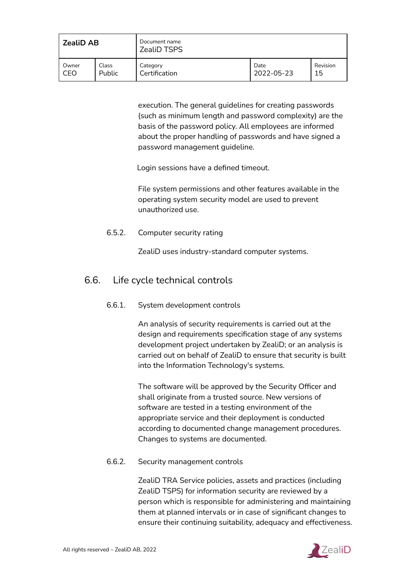| <b>ZealiD AB</b> |               | Document name<br><b>ZealiD TSPS</b> |            |          |
|------------------|---------------|-------------------------------------|------------|----------|
| Owner            | Class         | Category                            | Date       | Revision |
| CEO              | <b>Public</b> | Certification                       | 2022-05-23 | 15       |

execution. The general guidelines for creating passwords (such as minimum length and password complexity) are the basis of the password policy. All employees are informed about the proper handling of passwords and have signed a password management guideline.

Login sessions have a defined timeout.

File system permissions and other features available in the operating system security model are used to prevent unauthorized use.

#### <span id="page-43-0"></span>6.5.2. Computer security rating

ZealiD uses industry-standard computer systems.

# <span id="page-43-1"></span>6.6. Life cycle technical controls

#### 6.6.1. System development controls

An analysis of security requirements is carried out at the design and requirements specification stage of any systems development project undertaken by ZealiD; or an analysis is carried out on behalf of ZealiD to ensure that security is built into the Information Technology's systems.

The software will be approved by the Security Officer and shall originate from a trusted source. New versions of software are tested in a testing environment of the appropriate service and their deployment is conducted according to documented change management procedures. Changes to systems are documented.

#### <span id="page-43-2"></span>6.6.2. Security management controls

ZealiD TRA Service policies, assets and practices (including ZealiD TSPS) for information security are reviewed by a person which is responsible for administering and maintaining them at planned intervals or in case of significant changes to ensure their continuing suitability, adequacy and effectiveness.

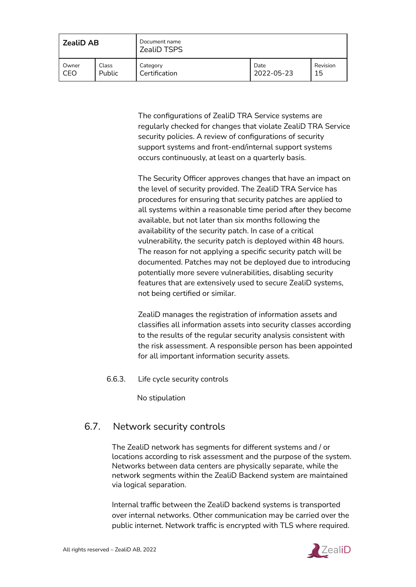| <b>ZealiD AB</b> |        | Document name<br><b>ZealiD TSPS</b> |            |          |
|------------------|--------|-------------------------------------|------------|----------|
| Owner            | Class  | Category                            | Date       | Revision |
| CEO              | Public | Certification                       | 2022-05-23 | 15       |

The configurations of ZealiD TRA Service systems are regularly checked for changes that violate ZealiD TRA Service security policies. A review of configurations of security support systems and front-end/internal support systems occurs continuously, at least on a quarterly basis.

The Security Officer approves changes that have an impact on the level of security provided. The ZealiD TRA Service has procedures for ensuring that security patches are applied to all systems within a reasonable time period after they become available, but not later than six months following the availability of the security patch. In case of a critical vulnerability, the security patch is deployed within 48 hours. The reason for not applying a specific security patch will be documented. Patches may not be deployed due to introducing potentially more severe vulnerabilities, disabling security features that are extensively used to secure ZealiD systems, not being certified or similar.

ZealiD manages the registration of information assets and classifies all information assets into security classes according to the results of the regular security analysis consistent with the risk assessment. A responsible person has been appointed for all important information security assets.

<span id="page-44-0"></span>6.6.3. Life cycle security controls

No stipulation

### <span id="page-44-1"></span>6.7. Network security controls

The ZealiD network has segments for different systems and / or locations according to risk assessment and the purpose of the system. Networks between data centers are physically separate, while the network segments within the ZealiD Backend system are maintained via logical separation.

Internal traffic between the ZealiD backend systems is transported over internal networks. Other communication may be carried over the public internet. Network traffic is encrypted with TLS where required.

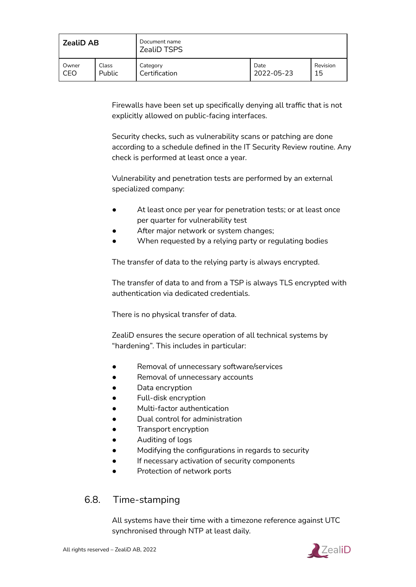| <b>ZealiD AB</b> |               | Document name<br><b>ZealiD TSPS</b> |            |          |
|------------------|---------------|-------------------------------------|------------|----------|
| Owner            | Class         | Category                            | Date       | Revision |
| CEC              | <b>Public</b> | Certification                       | 2022-05-23 | 15       |

Firewalls have been set up specifically denying all traffic that is not explicitly allowed on public-facing interfaces.

Security checks, such as vulnerability scans or patching are done according to a schedule defined in the IT Security Review routine. Any check is performed at least once a year.

Vulnerability and penetration tests are performed by an external specialized company:

- At least once per year for penetration tests; or at least once per quarter for vulnerability test
- After major network or system changes;
- When requested by a relying party or regulating bodies

The transfer of data to the relying party is always encrypted.

The transfer of data to and from a TSP is always TLS encrypted with authentication via dedicated credentials.

There is no physical transfer of data.

ZealiD ensures the secure operation of all technical systems by "hardening". This includes in particular:

- Removal of unnecessary software/services
- Removal of unnecessary accounts
- Data encryption
- Full-disk encryption
- Multi-factor authentication
- Dual control for administration
- Transport encryption
- Auditing of logs
- Modifying the configurations in regards to security
- If necessary activation of security components
- Protection of network ports

# <span id="page-45-0"></span>6.8. Time-stamping

All systems have their time with a timezone reference against UTC synchronised through NTP at least daily.

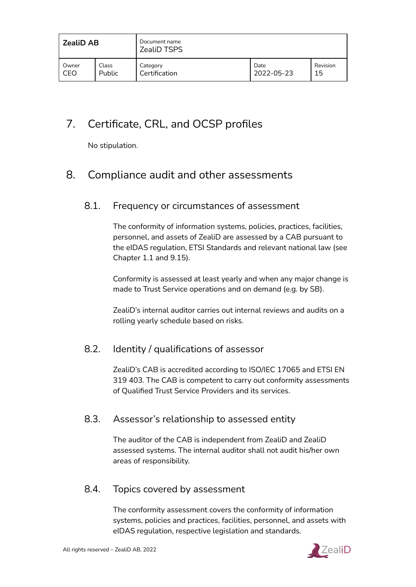| <b>ZealiD AB</b> |        | Document name<br><b>ZealiD TSPS</b> |            |          |  |
|------------------|--------|-------------------------------------|------------|----------|--|
| Owner            | Class  | Category                            | Date       | Revision |  |
| CEO              | Public | Certification                       | 2022-05-23 | 15       |  |

# <span id="page-46-0"></span>7. Certificate, CRL, and OCSP profiles

No stipulation.

# <span id="page-46-1"></span>8. Compliance audit and other assessments

# 8.1. Frequency or circumstances of assessment

The conformity of information systems, policies, practices, facilities, personnel, and assets of ZealiD are assessed by a CAB pursuant to the eIDAS regulation, ETSI Standards and relevant national law (see Chapter 1.1 and 9.15).

Conformity is assessed at least yearly and when any major change is made to Trust Service operations and on demand (e.g. by SB).

ZealiD's internal auditor carries out internal reviews and audits on a rolling yearly schedule based on risks.

# <span id="page-46-2"></span>8.2. Identity / qualifications of assessor

ZealiD's CAB is accredited according to ISO/IEC 17065 and ETSI EN 319 403. The CAB is competent to carry out conformity assessments of Qualified Trust Service Providers and its services.

# <span id="page-46-3"></span>8.3. Assessor's relationship to assessed entity

The auditor of the CAB is independent from ZealiD and ZealiD assessed systems. The internal auditor shall not audit his/her own areas of responsibility.

# <span id="page-46-4"></span>8.4. Topics covered by assessment

The conformity assessment covers the conformity of information systems, policies and practices, facilities, personnel, and assets with eIDAS regulation, respective legislation and standards.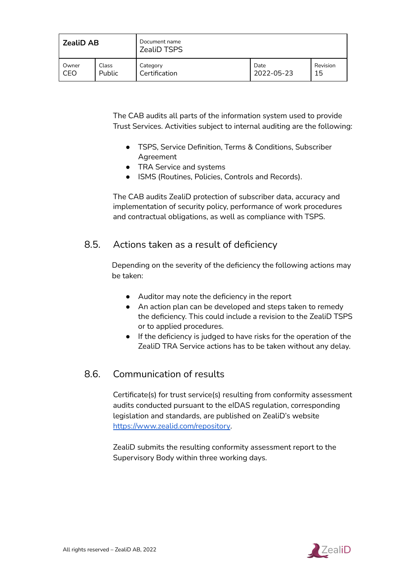| <b>ZealiD AB</b> |        | Document name<br><b>ZealiD TSPS</b> |            |          |
|------------------|--------|-------------------------------------|------------|----------|
| Owner            | Class  | Category                            | Date       | Revision |
| CEO              | Public | Certification                       | 2022-05-23 | 15       |

The CAB audits all parts of the information system used to provide Trust Services. Activities subject to internal auditing are the following:

- TSPS, Service Definition, Terms & Conditions, Subscriber Agreement
- TRA Service and systems
- ISMS (Routines, Policies, Controls and Records).

The CAB audits ZealiD protection of subscriber data, accuracy and implementation of security policy, performance of work procedures and contractual obligations, as well as compliance with TSPS.

### <span id="page-47-0"></span>8.5. Actions taken as a result of deficiency

Depending on the severity of the deficiency the following actions may be taken:

- Auditor may note the deficiency in the report
- An action plan can be developed and steps taken to remedy the deficiency. This could include a revision to the ZealiD TSPS or to applied procedures.
- If the deficiency is judged to have risks for the operation of the ZealiD TRA Service actions has to be taken without any delay.

# <span id="page-47-1"></span>8.6. Communication of results

Certificate(s) for trust service(s) resulting from conformity assessment audits conducted pursuant to the eIDAS regulation, corresponding legislation and standards, are published on ZealiD's website <https://www.zealid.com/repository>.

ZealiD submits the resulting conformity assessment report to the Supervisory Body within three working days.

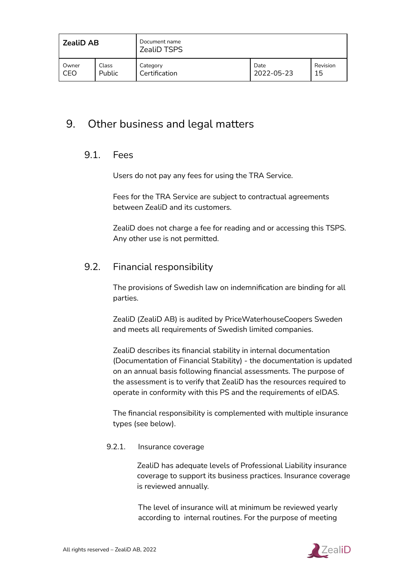| <b>ZealiD AB</b> |        | Document name<br><b>ZealiD TSPS</b> |            |          |
|------------------|--------|-------------------------------------|------------|----------|
| Owner            | Class  | Category                            | Date       | Revision |
| CEO              | Public | Certification                       | 2022-05-23 | 15       |

# <span id="page-48-1"></span><span id="page-48-0"></span>9. Other business and legal matters

### 9.1. Fees

Users do not pay any fees for using the TRA Service.

Fees for the TRA Service are subject to contractual agreements between ZealiD and its customers.

ZealiD does not charge a fee for reading and or accessing this TSPS. Any other use is not permitted.

### 9.2. Financial responsibility

The provisions of Swedish law on indemnification are binding for all parties.

ZealiD (ZealiD AB) is audited by PriceWaterhouseCoopers Sweden and meets all requirements of Swedish limited companies.

ZealiD describes its financial stability in internal documentation (Documentation of Financial Stability) - the documentation is updated on an annual basis following financial assessments. The purpose of the assessment is to verify that ZealiD has the resources required to operate in conformity with this PS and the requirements of eIDAS.

The financial responsibility is complemented with multiple insurance types (see below).

#### <span id="page-48-2"></span>9.2.1. Insurance coverage

ZealiD has adequate levels of Professional Liability insurance coverage to support its business practices. Insurance coverage is reviewed annually.

The level of insurance will at minimum be reviewed yearly according to internal routines. For the purpose of meeting

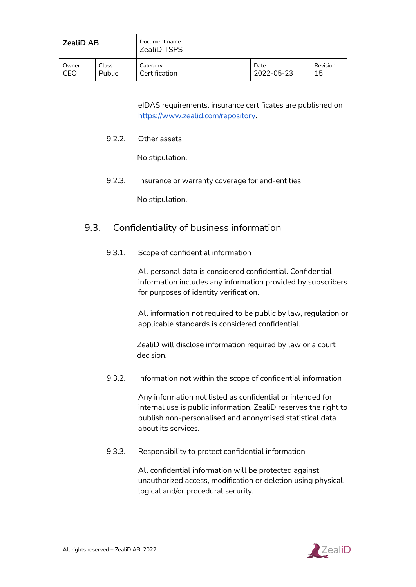| <b>ZealiD AB</b> |               | Document name<br><b>ZealiD TSPS</b> |            |          |
|------------------|---------------|-------------------------------------|------------|----------|
| Owner            | Class         | Category                            | Date       | Revision |
| CEO              | <b>Public</b> | Certification                       | 2022-05-23 | 15       |

eIDAS requirements, insurance certificates are published on <https://www.zealid.com/repository>.

<span id="page-49-0"></span>9.2.2. Other assets

No stipulation.

<span id="page-49-1"></span>9.2.3. Insurance or warranty coverage for end-entities

No stipulation.

# <span id="page-49-2"></span>9.3. Confidentiality of business information

9.3.1. Scope of confidential information

All personal data is considered confidential. Confidential information includes any information provided by subscribers for purposes of identity verification.

All information not required to be public by law, regulation or applicable standards is considered confidential.

ZealiD will disclose information required by law or a court decision.

<span id="page-49-3"></span>9.3.2. Information not within the scope of confidential information

Any information not listed as confidential or intended for internal use is public information. ZealiD reserves the right to publish non-personalised and anonymised statistical data about its services.

<span id="page-49-4"></span>9.3.3. Responsibility to protect confidential information

All confidential information will be protected against unauthorized access, modification or deletion using physical, logical and/or procedural security.

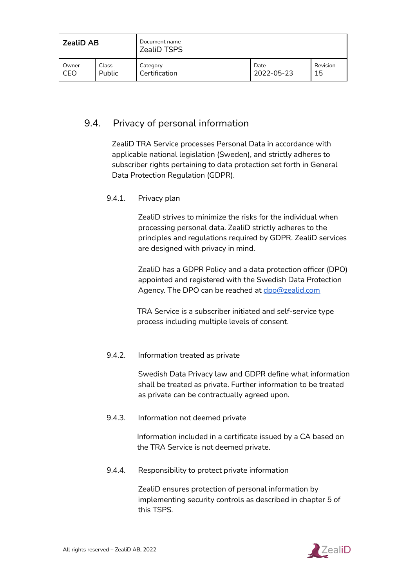| <b>ZealiD AB</b> |               | Document name<br><b>ZealiD TSPS</b> |            |          |
|------------------|---------------|-------------------------------------|------------|----------|
| Owner            | Class         | Category                            | Date       | Revision |
| CEO              | <b>Public</b> | Certification                       | 2022-05-23 | 15       |

# <span id="page-50-0"></span>9.4. Privacy of personal information

ZealiD TRA Service processes Personal Data in accordance with applicable national legislation (Sweden), and strictly adheres to subscriber rights pertaining to data protection set forth in General Data Protection Regulation (GDPR).

#### <span id="page-50-1"></span>9.4.1. Privacy plan

ZealiD strives to minimize the risks for the individual when processing personal data. ZealiD strictly adheres to the principles and regulations required by GDPR. ZealiD services are designed with privacy in mind.

ZealiD has a GDPR Policy and a data protection officer (DPO) appointed and registered with the Swedish Data Protection Agency. The DPO can be reached at [dpo@zealid.com](mailto:dpo@zealid.com)

TRA Service is a subscriber initiated and self-service type process including multiple levels of consent.

#### <span id="page-50-2"></span>9.4.2. Information treated as private

Swedish Data Privacy law and GDPR define what information shall be treated as private. Further information to be treated as private can be contractually agreed upon.

#### <span id="page-50-3"></span>9.4.3. Information not deemed private

Information included in a certificate issued by a CA based on the TRA Service is not deemed private.

<span id="page-50-4"></span>9.4.4. Responsibility to protect private information

ZealiD ensures protection of personal information by implementing security controls as described in chapter 5 of this TSPS.

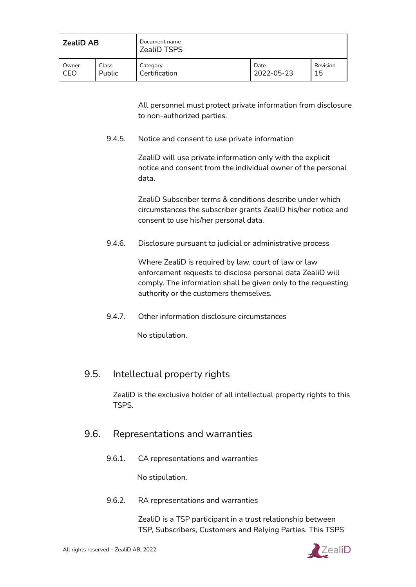| <b>ZealiD AB</b> |               | Document name<br><b>ZealiD TSPS</b> |            |          |
|------------------|---------------|-------------------------------------|------------|----------|
| Owner            | Class         | Category                            | Date       | Revision |
| CEO              | <b>Public</b> | Certification                       | 2022-05-23 | 15       |

All personnel must protect private information from disclosure to non-authorized parties.

<span id="page-51-0"></span>9.4.5. Notice and consent to use private information

ZealiD will use private information only with the explicit notice and consent from the individual owner of the personal data.

ZealiD Subscriber terms & conditions describe under which circumstances the subscriber grants ZealiD his/her notice and consent to use his/her personal data.

<span id="page-51-1"></span>9.4.6. Disclosure pursuant to judicial or administrative process

Where ZealiD is required by law, court of law or law enforcement requests to disclose personal data ZealiD will comply. The information shall be given only to the requesting authority or the customers themselves.

<span id="page-51-2"></span>9.4.7. Other information disclosure circumstances

No stipulation.

# <span id="page-51-3"></span>9.5. Intellectual property rights

ZealiD is the exclusive holder of all intellectual property rights to this TSPS.

### <span id="page-51-4"></span>9.6. Representations and warranties

9.6.1. CA representations and warranties

No stipulation.

<span id="page-51-5"></span>9.6.2. RA representations and warranties

ZealiD is a TSP participant in a trust relationship between TSP, Subscribers, Customers and Relying Parties. This TSPS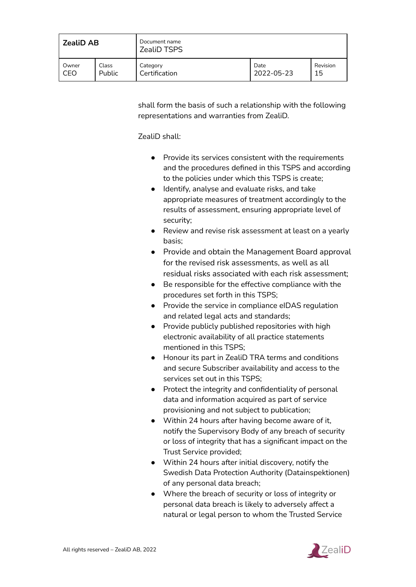| <b>ZealiD AB</b> |               | Document name<br><b>ZealiD TSPS</b> |            |          |  |
|------------------|---------------|-------------------------------------|------------|----------|--|
| Owner            | Class         | Category                            | Date       | Revision |  |
| CEO              | <b>Public</b> | Certification                       | 2022-05-23 | 15       |  |

shall form the basis of such a relationship with the following representations and warranties from ZealiD.

ZealiD shall:

- Provide its services consistent with the requirements and the procedures defined in this TSPS and according to the policies under which this TSPS is create;
- Identify, analyse and evaluate risks, and take appropriate measures of treatment accordingly to the results of assessment, ensuring appropriate level of security;
- Review and revise risk assessment at least on a yearly basis;
- Provide and obtain the Management Board approval for the revised risk assessments, as well as all residual risks associated with each risk assessment;
- Be responsible for the effective compliance with the procedures set forth in this TSPS;
- Provide the service in compliance eIDAS regulation and related legal acts and standards;
- Provide publicly published repositories with high electronic availability of all practice statements mentioned in this TSPS;
- Honour its part in ZealiD TRA terms and conditions and secure Subscriber availability and access to the services set out in this TSPS;
- Protect the integrity and confidentiality of personal data and information acquired as part of service provisioning and not subject to publication;
- Within 24 hours after having become aware of it, notify the Supervisory Body of any breach of security or loss of integrity that has a significant impact on the Trust Service provided;
- Within 24 hours after initial discovery, notify the Swedish Data Protection Authority (Datainspektionen) of any personal data breach;
- Where the breach of security or loss of integrity or personal data breach is likely to adversely affect a natural or legal person to whom the Trusted Service

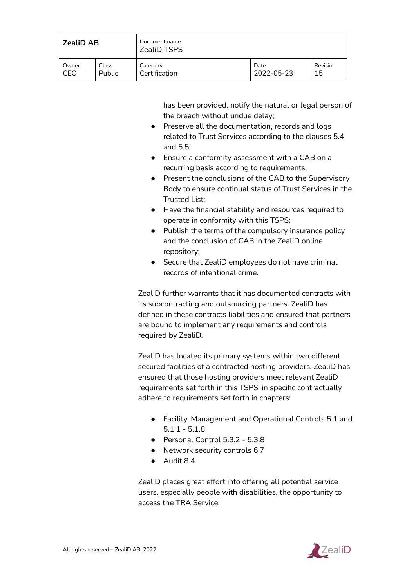| <b>ZealiD AB</b> |        | Document name<br><b>ZealiD TSPS</b> |            |          |
|------------------|--------|-------------------------------------|------------|----------|
| Owner            | Class  | Category                            | Date       | Revision |
| CEO              | Public | Certification                       | 2022-05-23 | 15       |

has been provided, notify the natural or legal person of the breach without undue delay;

- Preserve all the documentation, records and logs related to Trust Services according to the clauses 5.4 and 5.5;
- Ensure a conformity assessment with a CAB on a recurring basis according to requirements:
- Present the conclusions of the CAB to the Supervisory Body to ensure continual status of Trust Services in the Trusted List;
- Have the financial stability and resources required to operate in conformity with this TSPS;
- Publish the terms of the compulsory insurance policy and the conclusion of CAB in the ZealiD online repository;
- Secure that ZealiD employees do not have criminal records of intentional crime.

ZealiD further warrants that it has documented contracts with its subcontracting and outsourcing partners. ZealiD has defined in these contracts liabilities and ensured that partners are bound to implement any requirements and controls required by ZealiD.

ZealiD has located its primary systems within two different secured facilities of a contracted hosting providers. ZealiD has ensured that those hosting providers meet relevant ZealiD requirements set forth in this TSPS, in specific contractually adhere to requirements set forth in chapters:

- Facility, Management and Operational Controls 5.1 and 5.1.1 - 5.1.8
- Personal Control 5.3.2 5.3.8
- Network security controls 6.7
- Audit 8.4

ZealiD places great effort into offering all potential service users, especially people with disabilities, the opportunity to access the TRA Service.

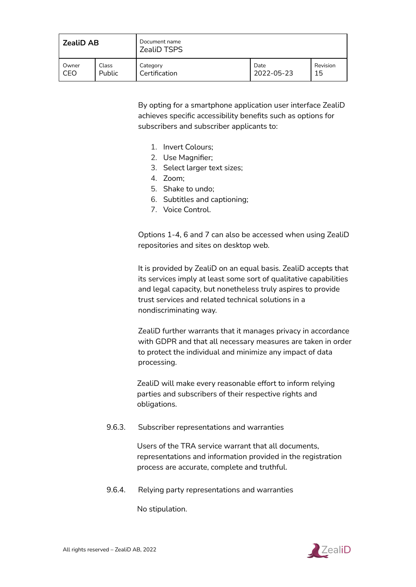| <b>ZealiD AB</b> |               | Document name<br><b>ZealiD TSPS</b> |            |          |
|------------------|---------------|-------------------------------------|------------|----------|
| Owner            | Class         | Category                            | Date       | Revision |
| CEO              | <b>Public</b> | Certification                       | 2022-05-23 | 15       |

By opting for a smartphone application user interface ZealiD achieves specific accessibility benefits such as options for subscribers and subscriber applicants to:

- 1. Invert Colours;
- 2. Use Magnifier;
- 3. Select larger text sizes;
- 4. Zoom;
- 5. Shake to undo;
- 6. Subtitles and captioning;
- 7. Voice Control.

Options 1-4, 6 and 7 can also be accessed when using ZealiD repositories and sites on desktop web.

It is provided by ZealiD on an equal basis. ZealiD accepts that its services imply at least some sort of qualitative capabilities and legal capacity, but nonetheless truly aspires to provide trust services and related technical solutions in a nondiscriminating way.

ZealiD further warrants that it manages privacy in accordance with GDPR and that all necessary measures are taken in order to protect the individual and minimize any impact of data processing.

ZealiD will make every reasonable effort to inform relying parties and subscribers of their respective rights and obligations.

<span id="page-54-0"></span>9.6.3. Subscriber representations and warranties

Users of the TRA service warrant that all documents, representations and information provided in the registration process are accurate, complete and truthful.

<span id="page-54-1"></span>9.6.4. Relying party representations and warranties

No stipulation.

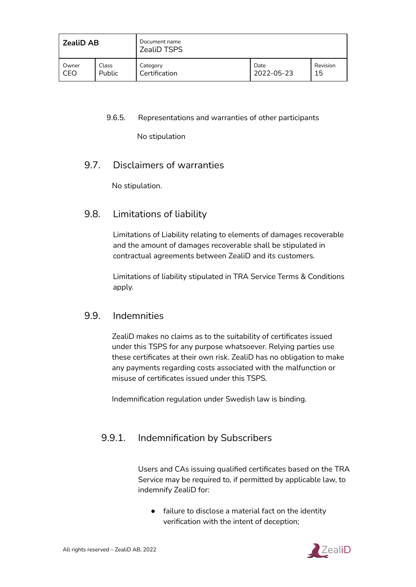| <b>ZealiD AB</b> |        | Document name<br><b>ZealiD TSPS</b> |            |          |
|------------------|--------|-------------------------------------|------------|----------|
| Owner            | Class  | Category                            | Date       | Revision |
| CEO              | Public | Certification                       | 2022-05-23 | 15       |

#### <span id="page-55-0"></span>9.6.5. Representations and warranties of other participants

No stipulation

# <span id="page-55-1"></span>9.7. Disclaimers of warranties

No stipulation.

# <span id="page-55-2"></span>9.8. Limitations of liability

Limitations of Liability relating to elements of damages recoverable and the amount of damages recoverable shall be stipulated in contractual agreements between ZealiD and its customers.

Limitations of liability stipulated in TRA Service Terms & Conditions apply.

### <span id="page-55-3"></span>9.9. Indemnities

ZealiD makes no claims as to the suitability of certificates issued under this TSPS for any purpose whatsoever. Relying parties use these certificates at their own risk. ZealiD has no obligation to make any payments regarding costs associated with the malfunction or misuse of certificates issued under this TSPS.

Indemnification regulation under Swedish law is binding.

# <span id="page-55-4"></span>9.9.1. Indemnification by Subscribers

Users and CAs issuing qualified certificates based on the TRA Service may be required to, if permitted by applicable law, to indemnify ZealiD for:

● failure to disclose a material fact on the identity verification with the intent of deception;

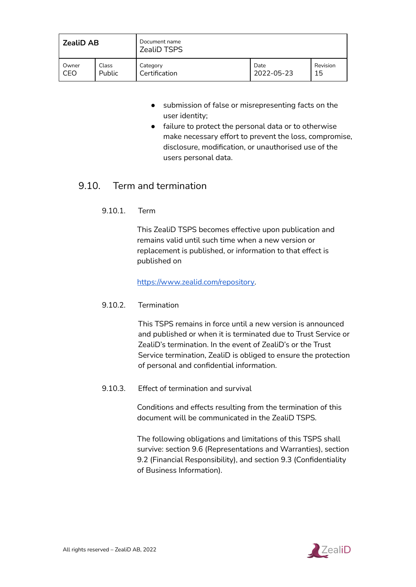| <b>ZealiD AB</b> |        | Document name<br><b>ZealiD TSPS</b> |            |          |
|------------------|--------|-------------------------------------|------------|----------|
| Owner            | Class  | Category                            | Date       | Revision |
| CEO              | Public | Certification                       | 2022-05-23 | 15       |

- submission of false or misrepresenting facts on the user identity;
- failure to protect the personal data or to otherwise make necessary effort to prevent the loss, compromise, disclosure, modification, or unauthorised use of the users personal data.

# <span id="page-56-0"></span>9.10. Term and termination

9.10.1. Term

This ZealiD TSPS becomes effective upon publication and remains valid until such time when a new version or replacement is published, or information to that effect is published on

[https://www.zealid.com/repository.](https://www.zealid.com/repository)

#### <span id="page-56-1"></span>9.10.2. Termination

This TSPS remains in force until a new version is announced and published or when it is terminated due to Trust Service or ZealiD's termination. In the event of ZealiD's or the Trust Service termination, ZealiD is obliged to ensure the protection of personal and confidential information.

<span id="page-56-2"></span>9.10.3. Effect of termination and survival

Conditions and effects resulting from the termination of this document will be communicated in the ZealiD TSPS.

The following obligations and limitations of this TSPS shall survive: section 9.6 (Representations and Warranties), section 9.2 (Financial Responsibility), and section 9.3 (Confidentiality of Business Information).

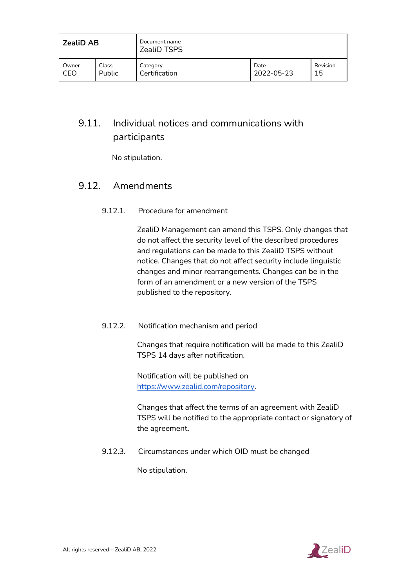| <b>ZealiD AB</b> |               | Document name<br><b>ZealiD TSPS</b> |            |          |
|------------------|---------------|-------------------------------------|------------|----------|
| Owner            | Class         | Category                            | Date       | Revision |
| CEO              | <b>Public</b> | Certification                       | 2022-05-23 | 15       |

# <span id="page-57-0"></span>9.11. Individual notices and communications with participants

No stipulation.

# <span id="page-57-1"></span>9.12. Amendments

#### 9.12.1. Procedure for amendment

ZealiD Management can amend this TSPS. Only changes that do not affect the security level of the described procedures and regulations can be made to this ZealiD TSPS without notice. Changes that do not affect security include linguistic changes and minor rearrangements. Changes can be in the form of an amendment or a new version of the TSPS published to the repository.

#### <span id="page-57-2"></span>9.12.2. Notification mechanism and period

Changes that require notification will be made to this ZealiD TSPS 14 days after notification.

Notification will be published on [https://www.zealid.com/repository.](https://www.zealid.com/repository)

Changes that affect the terms of an agreement with ZealiD TSPS will be notified to the appropriate contact or signatory of the agreement.

<span id="page-57-3"></span>9.12.3. Circumstances under which OID must be changed

No stipulation.

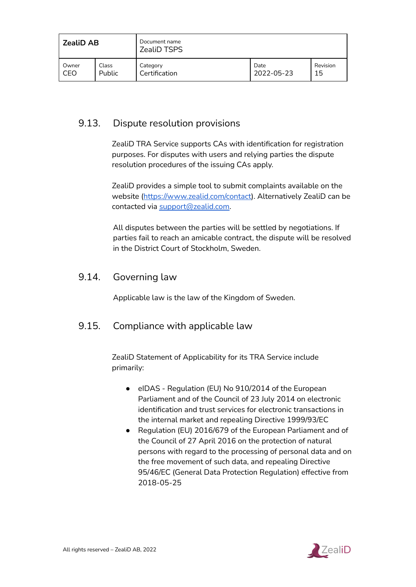| <b>ZealiD AB</b> |        | Document name<br>ZealiD TSPS |            |          |
|------------------|--------|------------------------------|------------|----------|
| Owner            | Class  | Category                     | Date       | Revision |
| CEO              | Public | Certification                | 2022-05-23 | 15       |

# <span id="page-58-0"></span>9.13. Dispute resolution provisions

ZealiD TRA Service supports CAs with identification for registration purposes. For disputes with users and relying parties the dispute resolution procedures of the issuing CAs apply.

ZealiD provides a simple tool to submit complaints available on the website ([https://www.zealid.com/contact\)](https://www.zealid.com/contact). Alternatively ZealiD can be contacted via [support@zealid.com.](mailto:support@zealid.com)

All disputes between the parties will be settled by negotiations. If parties fail to reach an amicable contract, the dispute will be resolved in the District Court of Stockholm, Sweden.

# <span id="page-58-1"></span>9.14. Governing law

Applicable law is the law of the Kingdom of Sweden.

# <span id="page-58-2"></span>9.15. Compliance with applicable law

ZealiD Statement of Applicability for its TRA Service include primarily:

- eIDAS Regulation (EU) No 910/2014 of the European Parliament and of the Council of 23 July 2014 on electronic identification and trust services for electronic transactions in the internal market and repealing Directive 1999/93/EC
- Regulation (EU) 2016/679 of the European Parliament and of the Council of 27 April 2016 on the protection of natural persons with regard to the processing of personal data and on the free movement of such data, and repealing Directive 95/46/EC (General Data Protection Regulation) effective from 2018-05-25

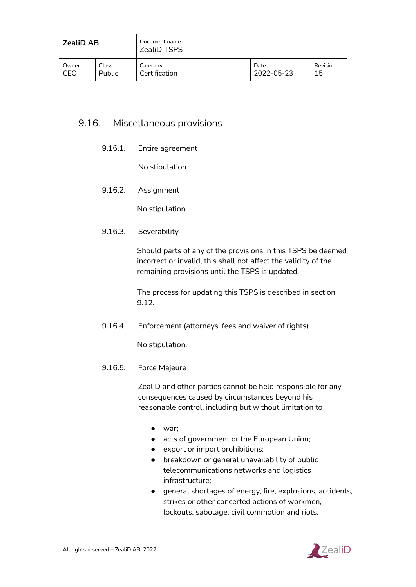| <b>ZealiD AB</b> |        | Document name<br><b>ZealiD TSPS</b> |            |          |
|------------------|--------|-------------------------------------|------------|----------|
| Owner            | Class  | Category                            | Date       | Revision |
| CEO              | Public | Certification                       | 2022-05-23 | 15       |

# <span id="page-59-1"></span><span id="page-59-0"></span>9.16. Miscellaneous provisions

9.16.1. Entire agreement

No stipulation.

<span id="page-59-2"></span>9.16.2. Assignment

No stipulation.

<span id="page-59-3"></span>9.16.3. Severability

Should parts of any of the provisions in this TSPS be deemed incorrect or invalid, this shall not affect the validity of the remaining provisions until the TSPS is updated.

The process for updating this TSPS is described in section 9.12.

<span id="page-59-4"></span>9.16.4. Enforcement (attorneys' fees and waiver of rights)

No stipulation.

<span id="page-59-5"></span>9.16.5. Force Majeure

ZealiD and other parties cannot be held responsible for any consequences caused by circumstances beyond his reasonable control, including but without limitation to

- war;
- acts of government or the European Union;
- export or import prohibitions;
- breakdown or general unavailability of public telecommunications networks and logistics infrastructure;
- general shortages of energy, fire, explosions, accidents, strikes or other concerted actions of workmen, lockouts, sabotage, civil commotion and riots.